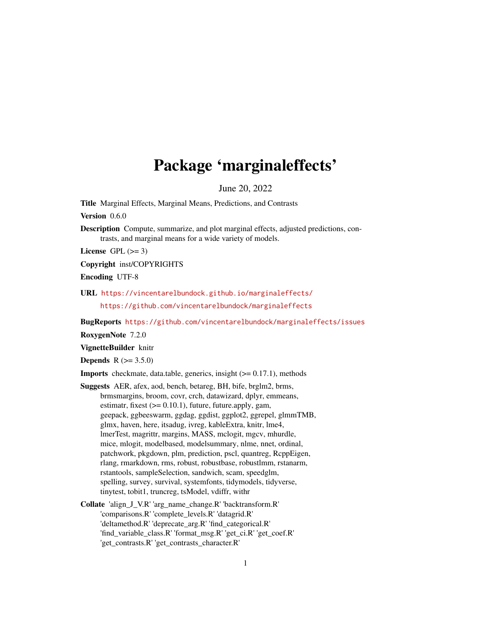# Package 'marginaleffects'

June 20, 2022

<span id="page-0-0"></span>Title Marginal Effects, Marginal Means, Predictions, and Contrasts

Version 0.6.0

Description Compute, summarize, and plot marginal effects, adjusted predictions, contrasts, and marginal means for a wide variety of models.

License GPL  $(>= 3)$ 

Copyright inst/COPYRIGHTS

Encoding UTF-8

URL <https://vincentarelbundock.github.io/marginaleffects/> <https://github.com/vincentarelbundock/marginaleffects>

BugReports <https://github.com/vincentarelbundock/marginaleffects/issues>

RoxygenNote 7.2.0

VignetteBuilder knitr

**Depends**  $R (= 3.5.0)$ 

**Imports** checkmate, data.table, generics, insight  $(>= 0.17.1)$ , methods

- Suggests AER, afex, aod, bench, betareg, BH, bife, brglm2, brms, brmsmargins, broom, covr, crch, datawizard, dplyr, emmeans, estimatr, fixest  $(>= 0.10.1)$ , future, future.apply, gam, geepack, ggbeeswarm, ggdag, ggdist, ggplot2, ggrepel, glmmTMB, glmx, haven, here, itsadug, ivreg, kableExtra, knitr, lme4, lmerTest, magrittr, margins, MASS, mclogit, mgcv, mhurdle, mice, mlogit, modelbased, modelsummary, nlme, nnet, ordinal, patchwork, pkgdown, plm, prediction, pscl, quantreg, RcppEigen, rlang, rmarkdown, rms, robust, robustbase, robustlmm, rstanarm, rstantools, sampleSelection, sandwich, scam, speedglm, spelling, survey, survival, systemfonts, tidymodels, tidyverse, tinytest, tobit1, truncreg, tsModel, vdiffr, withr
- Collate 'align\_J\_V.R' 'arg\_name\_change.R' 'backtransform.R' 'comparisons.R' 'complete\_levels.R' 'datagrid.R' 'deltamethod.R' 'deprecate\_arg.R' 'find\_categorical.R' 'find\_variable\_class.R' 'format\_msg.R' 'get\_ci.R' 'get\_coef.R' 'get\_contrasts.R' 'get\_contrasts\_character.R'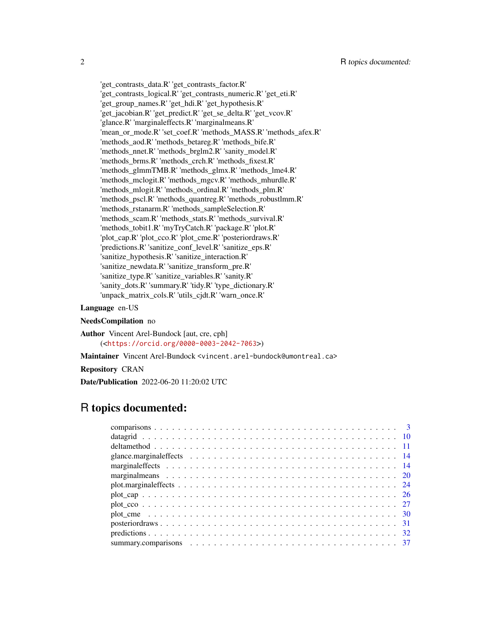'get\_contrasts\_data.R' 'get\_contrasts\_factor.R' 'get\_contrasts\_logical.R' 'get\_contrasts\_numeric.R' 'get\_eti.R' 'get\_group\_names.R' 'get\_hdi.R' 'get\_hypothesis.R' 'get\_jacobian.R' 'get\_predict.R' 'get\_se\_delta.R' 'get\_vcov.R' 'glance.R' 'marginaleffects.R' 'marginalmeans.R' 'mean\_or\_mode.R' 'set\_coef.R' 'methods\_MASS.R' 'methods\_afex.R' 'methods\_aod.R' 'methods\_betareg.R' 'methods\_bife.R' 'methods\_nnet.R' 'methods\_brglm2.R' 'sanity\_model.R' 'methods\_brms.R' 'methods\_crch.R' 'methods\_fixest.R' 'methods\_glmmTMB.R' 'methods\_glmx.R' 'methods\_lme4.R' 'methods\_mclogit.R' 'methods\_mgcv.R' 'methods\_mhurdle.R' 'methods\_mlogit.R' 'methods\_ordinal.R' 'methods\_plm.R' 'methods\_pscl.R' 'methods\_quantreg.R' 'methods\_robustlmm.R' 'methods\_rstanarm.R' 'methods\_sampleSelection.R' 'methods\_scam.R' 'methods\_stats.R' 'methods\_survival.R' 'methods\_tobit1.R' 'myTryCatch.R' 'package.R' 'plot.R' 'plot\_cap.R' 'plot\_cco.R' 'plot\_cme.R' 'posteriordraws.R' 'predictions.R' 'sanitize\_conf\_level.R' 'sanitize\_eps.R' 'sanitize\_hypothesis.R' 'sanitize\_interaction.R' 'sanitize\_newdata.R' 'sanitize\_transform\_pre.R' 'sanitize\_type.R' 'sanitize\_variables.R' 'sanity.R' 'sanity\_dots.R' 'summary.R' 'tidy.R' 'type\_dictionary.R' 'unpack\_matrix\_cols.R' 'utils\_cjdt.R' 'warn\_once.R'

#### Language en-US

#### NeedsCompilation no

Author Vincent Arel-Bundock [aut, cre, cph] (<<https://orcid.org/0000-0003-2042-7063>>)

Maintainer Vincent Arel-Bundock <vincent.arel-bundock@umontreal.ca>

Repository CRAN

Date/Publication 2022-06-20 11:20:02 UTC

# R topics documented: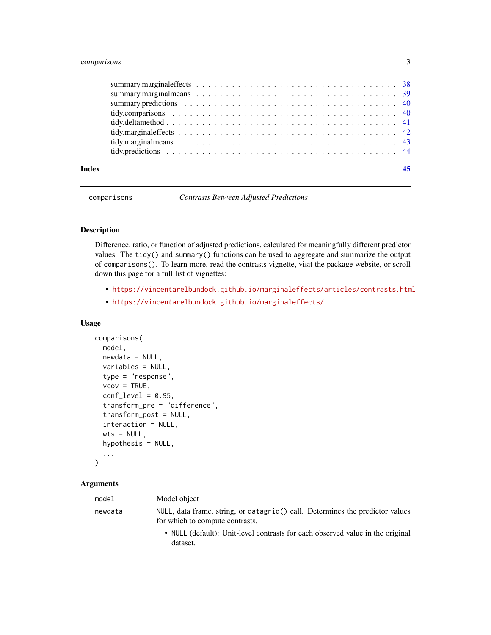# <span id="page-2-0"></span>comparisons 3

| Index |  |  |  |  |  |  |  |  |  |  |  |  |  |  |  |  |
|-------|--|--|--|--|--|--|--|--|--|--|--|--|--|--|--|--|
|       |  |  |  |  |  |  |  |  |  |  |  |  |  |  |  |  |
|       |  |  |  |  |  |  |  |  |  |  |  |  |  |  |  |  |
|       |  |  |  |  |  |  |  |  |  |  |  |  |  |  |  |  |
|       |  |  |  |  |  |  |  |  |  |  |  |  |  |  |  |  |
|       |  |  |  |  |  |  |  |  |  |  |  |  |  |  |  |  |
|       |  |  |  |  |  |  |  |  |  |  |  |  |  |  |  |  |
|       |  |  |  |  |  |  |  |  |  |  |  |  |  |  |  |  |
|       |  |  |  |  |  |  |  |  |  |  |  |  |  |  |  |  |

comparisons *Contrasts Between Adjusted Predictions*

# Description

Difference, ratio, or function of adjusted predictions, calculated for meaningfully different predictor values. The tidy() and summary() functions can be used to aggregate and summarize the output of comparisons(). To learn more, read the contrasts vignette, visit the package website, or scroll down this page for a full list of vignettes:

- <https://vincentarelbundock.github.io/marginaleffects/articles/contrasts.html>
- <https://vincentarelbundock.github.io/marginaleffects/>

#### Usage

```
comparisons(
 model,
 newdata = NULL,
 variables = NULL,
  type = "response",
  vcov = TRUE,conf\_level = 0.95,
  transform_pre = "difference",
  transform_post = NULL,
  interaction = NULL,
 wts = NULL,hypothesis = NULL,
  ...
)
```

| model   | Model object                                                                                                     |
|---------|------------------------------------------------------------------------------------------------------------------|
| newdata | NULL, data frame, string, or datagrid() call. Determines the predictor values<br>for which to compute contrasts. |
|         | • NULL (default): Unit-level contrasts for each observed value in the original<br>dataset.                       |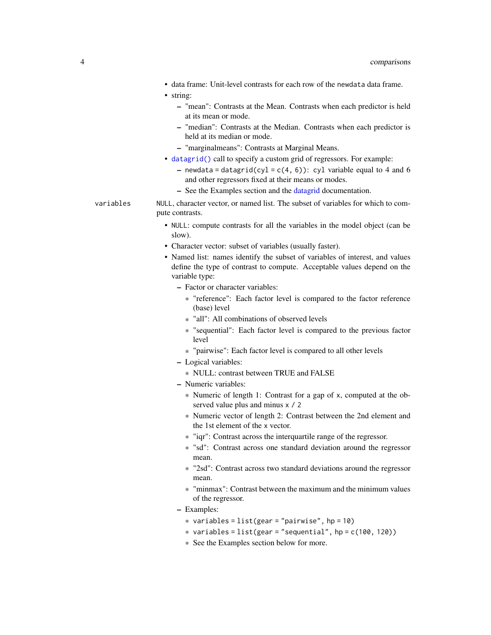<span id="page-3-0"></span>• data frame: Unit-level contrasts for each row of the newdata data frame.

• string:

- "mean": Contrasts at the Mean. Contrasts when each predictor is held at its mean or mode.
- "median": Contrasts at the Median. Contrasts when each predictor is held at its median or mode.
- "marginalmeans": Contrasts at Marginal Means.
- [datagrid\(\)](#page-9-1) call to specify a custom grid of regressors. For example:
	- newdata = datagrid(cyl = c(4, 6)): cyl variable equal to 4 and 6 and other regressors fixed at their means or modes.
	- See the Examples section and the [datagrid](#page-9-1) documentation.
- variables NULL, character vector, or named list. The subset of variables for which to compute contrasts.
	- NULL: compute contrasts for all the variables in the model object (can be slow).
	- Character vector: subset of variables (usually faster).
	- Named list: names identify the subset of variables of interest, and values define the type of contrast to compute. Acceptable values depend on the variable type:
		- Factor or character variables:
			- \* "reference": Each factor level is compared to the factor reference (base) level
			- \* "all": All combinations of observed levels
			- \* "sequential": Each factor level is compared to the previous factor level
			- \* "pairwise": Each factor level is compared to all other levels
		- Logical variables:
			- \* NULL: contrast between TRUE and FALSE
		- Numeric variables:
			- \* Numeric of length 1: Contrast for a gap of x, computed at the observed value plus and minus x / 2
			- \* Numeric vector of length 2: Contrast between the 2nd element and the 1st element of the x vector.
			- \* "iqr": Contrast across the interquartile range of the regressor.
			- \* "sd": Contrast across one standard deviation around the regressor mean.
			- \* "2sd": Contrast across two standard deviations around the regressor mean.
			- \* "minmax": Contrast between the maximum and the minimum values of the regressor.
		- Examples:
			- $*$  variables = list(gear = "pairwise", hp = 10)
			- $*$  variables = list(gear = "sequential", hp = c(100, 120))
			- \* See the Examples section below for more.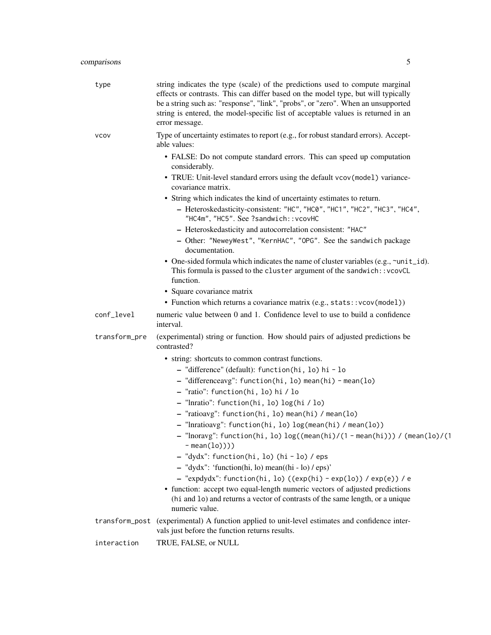| type           | string indicates the type (scale) of the predictions used to compute marginal<br>effects or contrasts. This can differ based on the model type, but will typically<br>be a string such as: "response", "link", "probs", or "zero". When an unsupported<br>string is entered, the model-specific list of acceptable values is returned in an<br>error message. |
|----------------|---------------------------------------------------------------------------------------------------------------------------------------------------------------------------------------------------------------------------------------------------------------------------------------------------------------------------------------------------------------|
| <b>VCOV</b>    | Type of uncertainty estimates to report (e.g., for robust standard errors). Accept-<br>able values:                                                                                                                                                                                                                                                           |
|                | • FALSE: Do not compute standard errors. This can speed up computation<br>considerably.                                                                                                                                                                                                                                                                       |
|                | • TRUE: Unit-level standard errors using the default vcov(model) variance-<br>covariance matrix.                                                                                                                                                                                                                                                              |
|                | • String which indicates the kind of uncertainty estimates to return.<br>- Heteroskedasticity-consistent: "HC", "HC0", "HC1", "HC2", "HC3", "HC4",<br>"HC4m", "HC5". See ?sandwich:: vcovHC                                                                                                                                                                   |
|                | - Heteroskedasticity and autocorrelation consistent: "HAC"                                                                                                                                                                                                                                                                                                    |
|                | - Other: "NeweyWest", "KernHAC", "OPG". See the sandwich package<br>documentation.                                                                                                                                                                                                                                                                            |
|                | • One-sided formula which indicates the name of cluster variables (e.g., ~unit_id).<br>This formula is passed to the cluster argument of the sandwich:: vcovCL<br>function.                                                                                                                                                                                   |
|                | • Square covariance matrix                                                                                                                                                                                                                                                                                                                                    |
|                | • Function which returns a covariance matrix (e.g., stats:: vcov(model))                                                                                                                                                                                                                                                                                      |
| conf_level     | numeric value between 0 and 1. Confidence level to use to build a confidence<br>interval.                                                                                                                                                                                                                                                                     |
| transform_pre  | (experimental) string or function. How should pairs of adjusted predictions be<br>contrasted?                                                                                                                                                                                                                                                                 |
|                | • string: shortcuts to common contrast functions.                                                                                                                                                                                                                                                                                                             |
|                | - "difference" (default): function(hi, lo) hi - lo                                                                                                                                                                                                                                                                                                            |
|                | - "differenceavg": function(hi, lo) mean(hi) - mean(lo)                                                                                                                                                                                                                                                                                                       |
|                | - "ratio": function(hi, lo) hi / lo                                                                                                                                                                                                                                                                                                                           |
|                | - "Inratio": function(hi, lo) log(hi / lo)                                                                                                                                                                                                                                                                                                                    |
|                | - "ratioavg": function(hi, lo) mean(hi) / mean(lo)                                                                                                                                                                                                                                                                                                            |
|                | - "Inratioavg": function(hi, lo) log(mean(hi) / mean(lo))                                                                                                                                                                                                                                                                                                     |
|                | "Inoravg": function(hi, lo) log((mean(hi)/(1 - mean(hi))) / (mean(lo)/(1<br>$-$ mean(lo))))                                                                                                                                                                                                                                                                   |
|                | - "dydx": function(hi, lo) (hi - lo) / eps                                                                                                                                                                                                                                                                                                                    |
|                | $-$ "dydx": 'function(hi, lo) mean((hi - lo) / eps)'                                                                                                                                                                                                                                                                                                          |
|                | - "expdydx": function(hi, lo) ((exp(hi) - exp(lo)) / exp(e)) / e                                                                                                                                                                                                                                                                                              |
|                | • function: accept two equal-length numeric vectors of adjusted predictions<br>(hi and lo) and returns a vector of contrasts of the same length, or a unique<br>numeric value.                                                                                                                                                                                |
| transform_post | (experimental) A function applied to unit-level estimates and confidence inter-<br>vals just before the function returns results.                                                                                                                                                                                                                             |
| interaction    | TRUE, FALSE, or NULL                                                                                                                                                                                                                                                                                                                                          |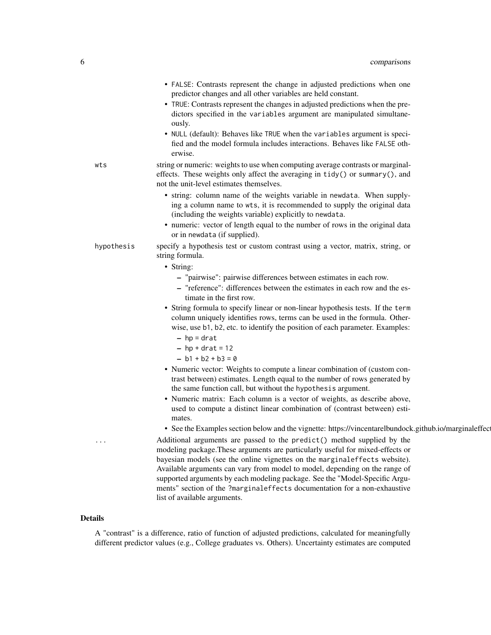|            | • FALSE: Contrasts represent the change in adjusted predictions when one<br>predictor changes and all other variables are held constant.<br>• TRUE: Contrasts represent the changes in adjusted predictions when the pre-<br>dictors specified in the variables argument are manipulated simultane-<br>ously.                                                                                                                                                                                                                                                                                                                                                                                                                                                                                                                                                                                                                                                                                              |
|------------|------------------------------------------------------------------------------------------------------------------------------------------------------------------------------------------------------------------------------------------------------------------------------------------------------------------------------------------------------------------------------------------------------------------------------------------------------------------------------------------------------------------------------------------------------------------------------------------------------------------------------------------------------------------------------------------------------------------------------------------------------------------------------------------------------------------------------------------------------------------------------------------------------------------------------------------------------------------------------------------------------------|
|            | • NULL (default): Behaves like TRUE when the variables argument is speci-<br>fied and the model formula includes interactions. Behaves like FALSE oth-<br>erwise.                                                                                                                                                                                                                                                                                                                                                                                                                                                                                                                                                                                                                                                                                                                                                                                                                                          |
| wts        | string or numeric: weights to use when computing average contrasts or marginal-<br>effects. These weights only affect the averaging in tidy() or summary(), and<br>not the unit-level estimates themselves.                                                                                                                                                                                                                                                                                                                                                                                                                                                                                                                                                                                                                                                                                                                                                                                                |
|            | • string: column name of the weights variable in newdata. When supply-<br>ing a column name to wts, it is recommended to supply the original data<br>(including the weights variable) explicitly to newdata.<br>• numeric: vector of length equal to the number of rows in the original data<br>or in newdata (if supplied).                                                                                                                                                                                                                                                                                                                                                                                                                                                                                                                                                                                                                                                                               |
| hypothesis | specify a hypothesis test or custom contrast using a vector, matrix, string, or<br>string formula.                                                                                                                                                                                                                                                                                                                                                                                                                                                                                                                                                                                                                                                                                                                                                                                                                                                                                                         |
|            | • String:<br>- "pairwise": pairwise differences between estimates in each row.<br>- "reference": differences between the estimates in each row and the es-<br>timate in the first row.<br>• String formula to specify linear or non-linear hypothesis tests. If the term<br>column uniquely identifies rows, terms can be used in the formula. Other-<br>wise, use b1, b2, etc. to identify the position of each parameter. Examples:<br>$-$ hp = drat<br>$-$ hp + drat = 12<br>$- b1 + b2 + b3 = 0$<br>• Numeric vector: Weights to compute a linear combination of (custom con-<br>trast between) estimates. Length equal to the number of rows generated by<br>the same function call, but without the hypothesis argument.<br>• Numeric matrix: Each column is a vector of weights, as describe above,<br>used to compute a distinct linear combination of (contrast between) esti-<br>mates.<br>• See the Examples section below and the vignette: https://vincentarelbundock.github.io/marginaleffec |
| .          | Additional arguments are passed to the predict() method supplied by the<br>modeling package. These arguments are particularly useful for mixed-effects or<br>bayesian models (see the online vignettes on the marginaleffects website).<br>Available arguments can vary from model to model, depending on the range of<br>supported arguments by each modeling package. See the "Model-Specific Argu-                                                                                                                                                                                                                                                                                                                                                                                                                                                                                                                                                                                                      |

# Details

A "contrast" is a difference, ratio of function of adjusted predictions, calculated for meaningfully different predictor values (e.g., College graduates vs. Others). Uncertainty estimates are computed

list of available arguments.

ments" section of the ?marginaleffects documentation for a non-exhaustive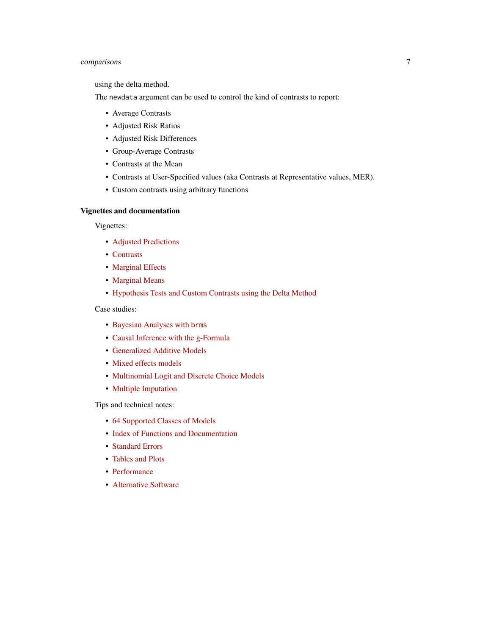# comparisons 7

using the delta method.

The newdata argument can be used to control the kind of contrasts to report:

- Average Contrasts
- Adjusted Risk Ratios
- Adjusted Risk Differences
- Group-Average Contrasts
- Contrasts at the Mean
- Contrasts at User-Specified values (aka Contrasts at Representative values, MER).
- Custom contrasts using arbitrary functions

# Vignettes and documentation

Vignettes:

- [Adjusted Predictions](https://vincentarelbundock.github.io/marginaleffects/articles/predictions.html)
- [Contrasts](https://vincentarelbundock.github.io/marginaleffects/articles/contrasts.html)
- [Marginal Effects](https://vincentarelbundock.github.io/marginaleffects/articles/marginaleffects.html)
- [Marginal Means](https://vincentarelbundock.github.io/marginaleffects/articles/marginalmeans.html)
- [Hypothesis Tests and Custom Contrasts using the Delta Method](https://vincentarelbundock.github.io/marginaleffects/articles/hypothesis.html)

Case studies:

- [Bayesian Analyses with](https://vincentarelbundock.github.io/marginaleffects/articles/brms.html) brms
- [Causal Inference with the g-Formula](https://vincentarelbundock.github.io/marginaleffects/articles/gformula.html)
- [Generalized Additive Models](https://vincentarelbundock.github.io/marginaleffects/articles/gam.html)
- [Mixed effects models](https://vincentarelbundock.github.io/marginaleffects/articles/lme4.html)
- [Multinomial Logit and Discrete Choice Models](https://vincentarelbundock.github.io/marginaleffects/articles/mlogit.html)
- [Multiple Imputation](https://vincentarelbundock.github.io/marginaleffects/articles/multiple_imputation.html)

Tips and technical notes:

- [64 Supported Classes of Models](https://vincentarelbundock.github.io/marginaleffects/articles/supported_models.html)
- [Index of Functions and Documentation](https://vincentarelbundock.github.io/marginaleffects/reference/index.html)
- [Standard Errors](https://vincentarelbundock.github.io/marginaleffects/articles/sandwich.html)
- [Tables and Plots](https://vincentarelbundock.github.io/marginaleffects/articles/modelsummary.html)
- [Performance](https://vincentarelbundock.github.io/marginaleffects/articles/performance.html)
- [Alternative Software](https://vincentarelbundock.github.io/marginaleffects/articles/alternative_software.html)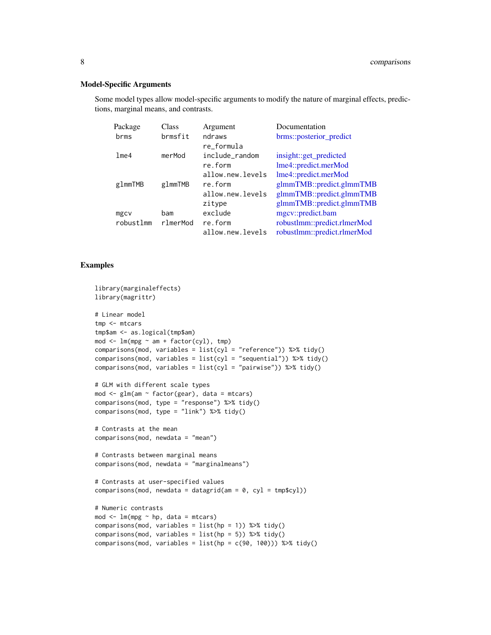#### <span id="page-7-0"></span>Model-Specific Arguments

Some model types allow model-specific arguments to modify the nature of marginal effects, predictions, marginal means, and contrasts.

| Argument         | Documentation               |
|------------------|-----------------------------|
| ndraws           | brms::posterior_predict     |
| re_formula       |                             |
| include_random   | insight::get_predicted      |
| re.form          | lme4::predict.merMod        |
| allow.new.levels | lme4::predict.merMod        |
| re.form          | glmmTMB::predict.glmmTMB    |
| allow.new.levels | glmmTMB::predict.glmmTMB    |
| zitype           | glmmTMB::predict.glmmTMB    |
| exclude          | mgcv::predict.bam           |
| re.form          | robustlmm::predict.rlmerMod |
| allow.new.levels | robustlmm::predict.rlmerMod |
|                  |                             |

# Examples

```
library(marginaleffects)
library(magrittr)
# Linear model
tmp <- mtcars
tmp$am <- as.logical(tmp$am)
mod \leq lm(mpg \sim am + factor(cyl), tmp)
comparisons(mod, variables = list(cyl = "reference")) %>% tidy()
comparisons(mod, variables = list(cyl = "sequential")) %\gg tidy()
comparisons(mod, variables = list(cyl = "pairwise")) %>% tidy()
# GLM with different scale types
mod \leq glm(am \leq factor(gear), data = mtcars)comparisons(mod, type = "response") %>% tidy()
comparisons(mod, type = "link") %>% tidy()
# Contrasts at the mean
comparisons(mod, newdata = "mean")
# Contrasts between marginal means
comparisons(mod, newdata = "marginalmeans")
# Contrasts at user-specified values
comparisons(mod, newdata = datagrid(am = 0, cyl = tmp$cyl))
# Numeric contrasts
mod \le - \ln(mpg \sim hp, data = mtcars)comparisons(mod, variables = list(hp = 1)) %>% tidy()comparisons(mod, variables = list(hp = 5)) %>% tidy()comparisons(mod, variables = list(hp = c(90, 100))) %>% tidy()
```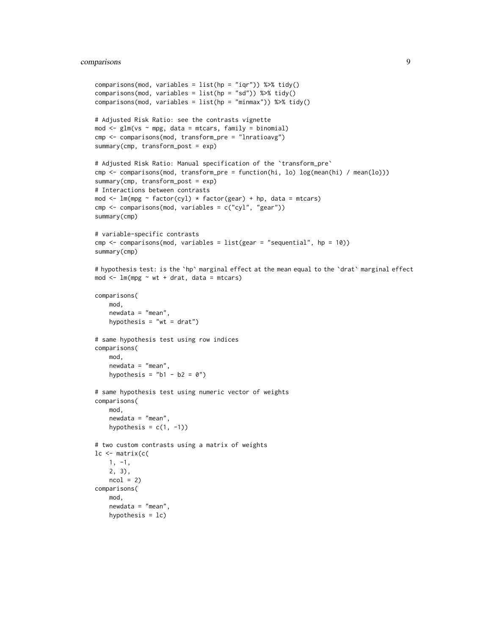# comparisons 9

```
comparisons(mod, variables = list(hp = "iqr")) %>% tidy()
comparisons(mod, variables = list(hp = "sd")) %>% tidy()
comparisons(mod, variables = list(hp = "minmax")) %>% tidy()
# Adjusted Risk Ratio: see the contrasts vignette
mod \leq glm(vs \sim mpg, data = mtcars, family = binomial)
cmp <- comparisons(mod, transform_pre = "lnratioavg")
summary(cmp, transform_post = exp)
# Adjusted Risk Ratio: Manual specification of the `transform_pre`
cmp <- comparisons(mod, transform_pre = function(hi, lo) log(mean(hi) / mean(lo)))
summary(cmp, transform_post = exp)
# Interactions between contrasts
mod \leq lm(mpg \sim factor(cyl) \star factor(gear) + hp, data = mtcars)
cmp <- comparisons(mod, variables = c("cyl", "gear"))
summary(cmp)
# variable-specific contrasts
cmp <- comparisons(mod, variables = list(gear = "sequential", hp = 10))
summary(cmp)
# hypothesis test: is the `hp` marginal effect at the mean equal to the `drat` marginal effect
mod < - \text{lm}(mpg \sim wt + drat, data = mtcars)comparisons(
    mod,
    newdata = "mean",
    hypothesis = "wt = drat")# same hypothesis test using row indices
comparisons(
   mod,
   newdata = "mean",
   hypothesis = nb1 - b2 = 0")
# same hypothesis test using numeric vector of weights
comparisons(
   mod,
    newdata = "mean",
   hypothesis = c(1, -1))
# two custom contrasts using a matrix of weights
lc <- matrix(c(
   1, -1,
   2, 3),
   ncol = 2comparisons(
   mod,
    newdata = "mean",
    hypothesis = 1c)
```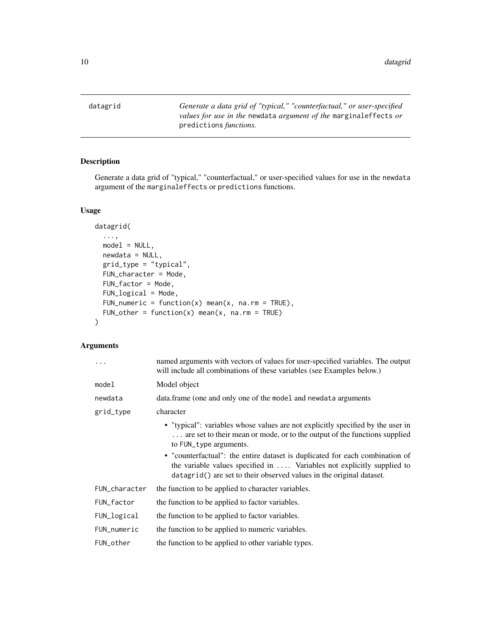<span id="page-9-1"></span><span id="page-9-0"></span>datagrid *Generate a data grid of "typical," "counterfactual," or user-specified values for use in the* newdata *argument of the* marginaleffects *or* predictions *functions.*

# Description

Generate a data grid of "typical," "counterfactual," or user-specified values for use in the newdata argument of the marginaleffects or predictions functions.

# Usage

```
datagrid(
  ...,
  model = NULL,newdata = NULL,
  grid_type = "typical",
  FUN_character = Mode,
  FUN_factor = Mode,
  FUN_logical = Mode,
  FUN_numeric = function(x) mean(x, na.rm = TRUE),
  FUN_other = function(x) mean(x, na.rm = TRUE)\mathcal{L}
```

|               | named arguments with vectors of values for user-specified variables. The output<br>will include all combinations of these variables (see Examples below.)                                                                               |
|---------------|-----------------------------------------------------------------------------------------------------------------------------------------------------------------------------------------------------------------------------------------|
| model         | Model object                                                                                                                                                                                                                            |
| newdata       | data.frame (one and only one of the model and newdata arguments                                                                                                                                                                         |
| grid_type     | character                                                                                                                                                                                                                               |
|               | • "typical": variables whose values are not explicitly specified by the user in<br>are set to their mean or mode, or to the output of the functions supplied<br>to FUN_type arguments.                                                  |
|               | • "counterfactual": the entire dataset is duplicated for each combination of<br>the variable values specified in $\dots$ . Variables not explicitly supplied to<br>datagrid() are set to their observed values in the original dataset. |
| FUN_character | the function to be applied to character variables.                                                                                                                                                                                      |
| FUN_factor    | the function to be applied to factor variables.                                                                                                                                                                                         |
| FUN_logical   | the function to be applied to factor variables.                                                                                                                                                                                         |
| FUN_numeric   | the function to be applied to numeric variables.                                                                                                                                                                                        |
| FUN_other     | the function to be applied to other variable types.                                                                                                                                                                                     |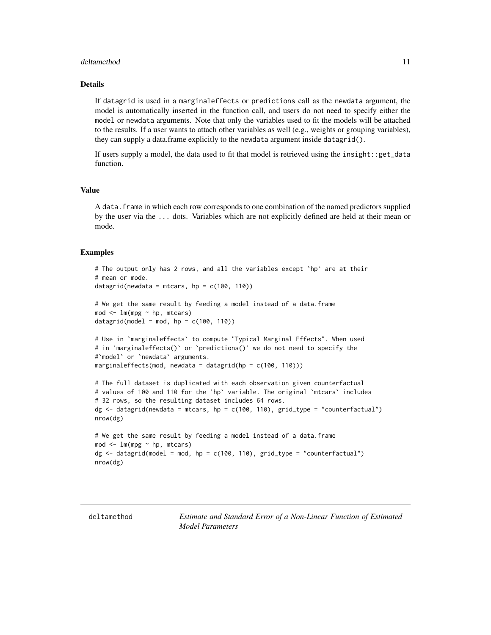#### <span id="page-10-0"></span>deltamethod 11

# Details

If datagrid is used in a marginaleffects or predictions call as the newdata argument, the model is automatically inserted in the function call, and users do not need to specify either the model or newdata arguments. Note that only the variables used to fit the models will be attached to the results. If a user wants to attach other variables as well (e.g., weights or grouping variables), they can supply a data.frame explicitly to the newdata argument inside datagrid().

If users supply a model, the data used to fit that model is retrieved using the insight::get\_data function.

# Value

A data.frame in which each row corresponds to one combination of the named predictors supplied by the user via the ... dots. Variables which are not explicitly defined are held at their mean or mode.

#### Examples

```
# The output only has 2 rows, and all the variables except `hp` are at their
# mean or mode.
datagrid(newdata = mtcars, hp = c(100, 110))
# We get the same result by feeding a model instead of a data.frame
mod < -1m(mpg ~ hp, mtcars)
datagrid(model = mod, hp = c(100, 110))
# Use in `marginaleffects` to compute "Typical Marginal Effects". When used
# in `marginaleffects()` or `predictions()` we do not need to specify the
#`model` or `newdata` arguments.
marginaleffects(mod, newdata = datagrid(hp = c(100, 110)))
# The full dataset is duplicated with each observation given counterfactual
# values of 100 and 110 for the `hp` variable. The original `mtcars` includes
# 32 rows, so the resulting dataset includes 64 rows.
dg <- datagrid(newdata = mtcars, hp = c(100, 110), grid_type = "counterfactual")
nrow(dg)
# We get the same result by feeding a model instead of a data.frame
mod <- lm(mpg ~ hp, mtcars)
dg \leq - datagrid(model = mod, hp = c(100, 110), grid_type = "counterfactual")
nrow(dg)
```
<span id="page-10-1"></span>deltamethod *Estimate and Standard Error of a Non-Linear Function of Estimated Model Parameters*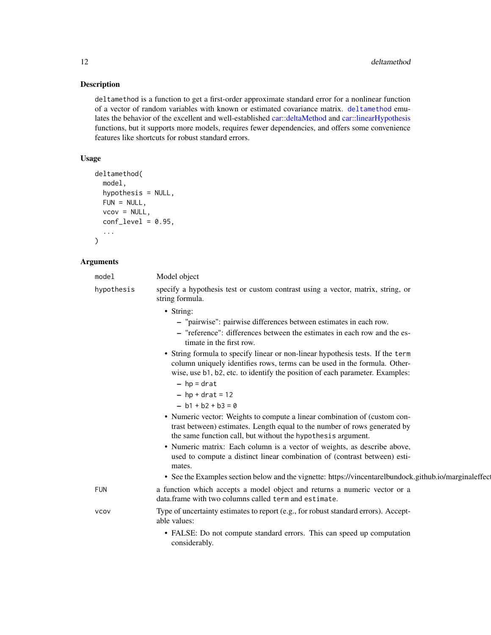#### <span id="page-11-0"></span>Description

deltamethod is a function to get a first-order approximate standard error for a nonlinear function of a vector of random variables with known or estimated covariance matrix. [deltamethod](#page-10-1) emulates the behavior of the excellent and well-established [car::deltaMethod](#page-0-0) and [car::linearHypothesis](#page-0-0) functions, but it supports more models, requires fewer dependencies, and offers some convenience features like shortcuts for robust standard errors.

# Usage

```
deltamethod(
  model,
  hypothesis = NULL,
  FUN = NULL,vcov = NULL,conf\_level = 0.95,
  ...
)
```
#### Arguments

| model      | Model object                                                                                       |
|------------|----------------------------------------------------------------------------------------------------|
| hypothesis | specify a hypothesis test or custom contrast using a vector, matrix, string, or<br>string formula. |
|            | • String:                                                                                          |

- "pairwise": pairwise differences between estimates in each row.
- "reference": differences between the estimates in each row and the estimate in the first row.
- String formula to specify linear or non-linear hypothesis tests. If the term column uniquely identifies rows, terms can be used in the formula. Otherwise, use b1, b2, etc. to identify the position of each parameter. Examples:
	- $-$  hp = drat
	- $-$  hp + drat = 12
	- $b1 + b2 + b3 = 0$
- Numeric vector: Weights to compute a linear combination of (custom contrast between) estimates. Length equal to the number of rows generated by the same function call, but without the hypothesis argument.
- Numeric matrix: Each column is a vector of weights, as describe above, used to compute a distinct linear combination of (contrast between) estimates.
- See the Examples section below and the vignette: https://vincentarelbundock.github.io/marginaleffec

FUN a function which accepts a model object and returns a numeric vector or a data.frame with two columns called term and estimate.

vcov Type of uncertainty estimates to report (e.g., for robust standard errors). Acceptable values:

> • FALSE: Do not compute standard errors. This can speed up computation considerably.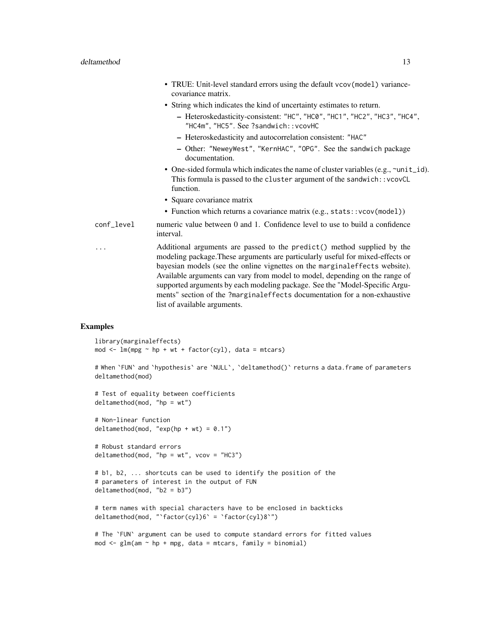- TRUE: Unit-level standard errors using the default vcov(model) variancecovariance matrix.
- String which indicates the kind of uncertainty estimates to return.
	- Heteroskedasticity-consistent: "HC", "HC0", "HC1", "HC2", "HC3", "HC4", "HC4m", "HC5". See ?sandwich::vcovHC
	- Heteroskedasticity and autocorrelation consistent: "HAC"
	- Other: "NeweyWest", "KernHAC", "OPG". See the sandwich package documentation.
- One-sided formula which indicates the name of cluster variables (e.g.,  $\sim$ unit\_id). This formula is passed to the cluster argument of the sandwich:: vcovCL function.
- Square covariance matrix
- Function which returns a covariance matrix (e.g., stats::vcov(model))
- conf\_level numeric value between 0 and 1. Confidence level to use to build a confidence interval.
- ... Additional arguments are passed to the predict() method supplied by the modeling package.These arguments are particularly useful for mixed-effects or bayesian models (see the online vignettes on the marginaleffects website). Available arguments can vary from model to model, depending on the range of supported arguments by each modeling package. See the "Model-Specific Arguments" section of the ?marginaleffects documentation for a non-exhaustive list of available arguments.

# Examples

```
library(marginaleffects)
mod \leq lm(mpg \sim hp + wt + factor(cyl), data = mtcars)
```

```
# When `FUN` and `hypothesis` are `NULL`, `deltamethod()` returns a data.frame of parameters
deltamethod(mod)
```

```
# Test of equality between coefficients
deltamethod(mod, "hp = wt")
```

```
# Non-linear function
deltamethod(mod, "exp(hp + wt) = 0.1")
```

```
# Robust standard errors
delta(mod, "hp = wt", vcov = "HC3")
```

```
# b1, b2, ... shortcuts can be used to identify the position of the
# parameters of interest in the output of FUN
deltamethod(mod, "b2 = b3")
```

```
# term names with special characters have to be enclosed in backticks
deltamethod(mod, "`factor(cyl)6` = `factor(cyl)8`")
```

```
# The `FUN` argument can be used to compute standard errors for fitted values
mod \leq glm(am \sim hp + mpg, data = mtcars, family = binomial)
```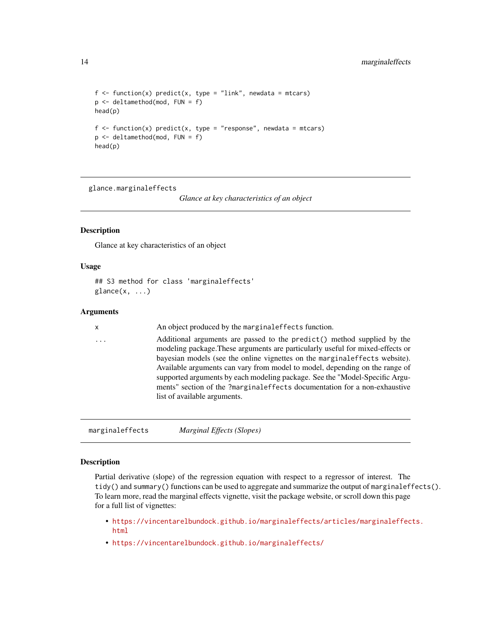```
f \leftarrow function(x) predict(x, type = "link", newdata = mtcars)
p <- deltamethod(mod, FUN = f)
head(p)
f \leftarrow function(x) predict(x, type = "response", newdata = mtcars)
p <- deltamethod(mod, FUN = f)
head(p)
```
glance.marginaleffects

*Glance at key characteristics of an object*

# **Description**

Glance at key characteristics of an object

#### Usage

```
## S3 method for class 'marginaleffects'
\text{glance}(x, \ldots)
```
# Arguments

x An object produced by the marginaleffects function.

... Additional arguments are passed to the predict() method supplied by the modeling package.These arguments are particularly useful for mixed-effects or bayesian models (see the online vignettes on the marginaleffects website). Available arguments can vary from model to model, depending on the range of supported arguments by each modeling package. See the "Model-Specific Arguments" section of the ?marginaleffects documentation for a non-exhaustive list of available arguments.

marginaleffects *Marginal Effects (Slopes)*

# Description

Partial derivative (slope) of the regression equation with respect to a regressor of interest. The tidy() and summary() functions can be used to aggregate and summarize the output of marginaleffects(). To learn more, read the marginal effects vignette, visit the package website, or scroll down this page for a full list of vignettes:

- [https://vincentarelbundock.github.io/marginaleffects/articles/marginaleffec](https://vincentarelbundock.github.io/marginaleffects/articles/marginaleffects.html)ts. [html](https://vincentarelbundock.github.io/marginaleffects/articles/marginaleffects.html)
- <https://vincentarelbundock.github.io/marginaleffects/>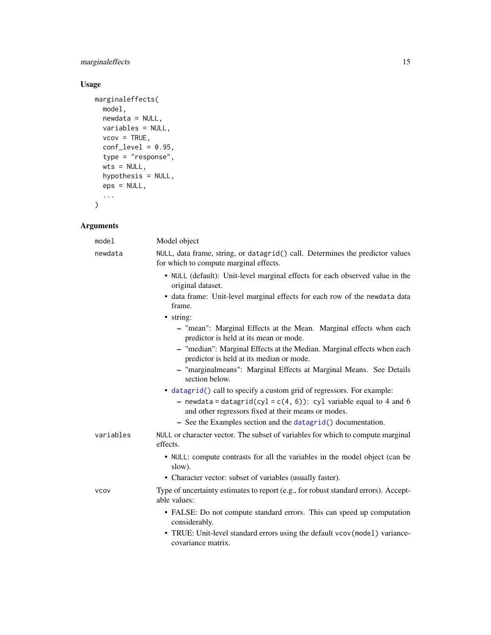# <span id="page-14-0"></span>marginaleffects 15

# Usage

```
marginaleffects(
  model,
  newdata = NULL,variables = NULL,
  vcov = TRUE,conf\_level = 0.95,
  type = "response",
  wts = NULL,hypothesis = NULL,
  eps = NULL,
  ...
\mathcal{L}
```

| model       | Model object                                                                                                                 |
|-------------|------------------------------------------------------------------------------------------------------------------------------|
| newdata     | NULL, data frame, string, or datagrid() call. Determines the predictor values<br>for which to compute marginal effects.      |
|             | • NULL (default): Unit-level marginal effects for each observed value in the<br>original dataset.                            |
|             | • data frame: Unit-level marginal effects for each row of the newdata data<br>frame.                                         |
|             | · string:                                                                                                                    |
|             | - "mean": Marginal Effects at the Mean. Marginal effects when each<br>predictor is held at its mean or mode.                 |
|             | - "median": Marginal Effects at the Median. Marginal effects when each<br>predictor is held at its median or mode.           |
|             | - "marginalmeans": Marginal Effects at Marginal Means. See Details<br>section below.                                         |
|             | • datagrid() call to specify a custom grid of regressors. For example:                                                       |
|             | - newdata = datagrid(cyl = $c(4, 6)$ ): cyl variable equal to 4 and 6<br>and other regressors fixed at their means or modes. |
|             | - See the Examples section and the datagrid() documentation.                                                                 |
| variables   | NULL or character vector. The subset of variables for which to compute marginal<br>effects.                                  |
|             | • NULL: compute contrasts for all the variables in the model object (can be<br>slow).                                        |
|             | • Character vector: subset of variables (usually faster).                                                                    |
| <b>VCOV</b> | Type of uncertainty estimates to report (e.g., for robust standard errors). Accept-<br>able values:                          |
|             | • FALSE: Do not compute standard errors. This can speed up computation<br>considerably.                                      |
|             | • TRUE: Unit-level standard errors using the default vcov(model) variance-<br>covariance matrix.                             |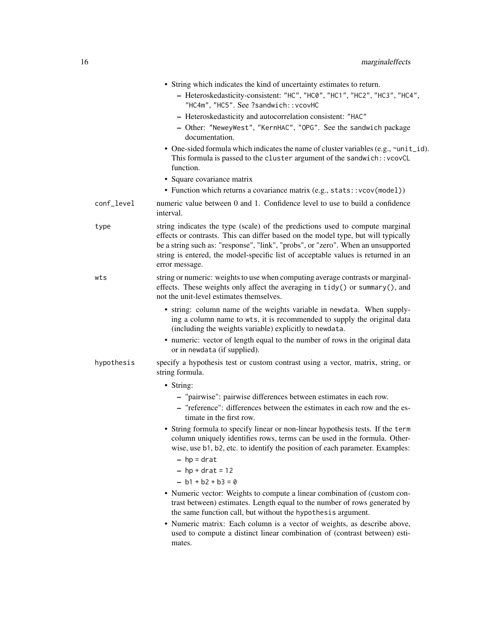|            | • String which indicates the kind of uncertainty estimates to return.<br>- Heteroskedasticity-consistent: "HC", "HC0", "HC1", "HC2", "HC3", "HC4",<br>"HC4m", "HC5". See ?sandwich:: vcovHC                                                                                                                                                                   |
|------------|---------------------------------------------------------------------------------------------------------------------------------------------------------------------------------------------------------------------------------------------------------------------------------------------------------------------------------------------------------------|
|            | - Heteroskedasticity and autocorrelation consistent: "HAC"<br>- Other: "NeweyWest", "KernHAC", "OPG". See the sandwich package<br>documentation.                                                                                                                                                                                                              |
|            | • One-sided formula which indicates the name of cluster variables (e.g., ~unit_id).<br>This formula is passed to the cluster argument of the sandwich:: vcovCL<br>function.                                                                                                                                                                                   |
|            | • Square covariance matrix                                                                                                                                                                                                                                                                                                                                    |
|            | • Function which returns a covariance matrix (e.g., stats:: vcov(model))                                                                                                                                                                                                                                                                                      |
| conf_level | numeric value between 0 and 1. Confidence level to use to build a confidence<br>interval.                                                                                                                                                                                                                                                                     |
| type       | string indicates the type (scale) of the predictions used to compute marginal<br>effects or contrasts. This can differ based on the model type, but will typically<br>be a string such as: "response", "link", "probs", or "zero". When an unsupported<br>string is entered, the model-specific list of acceptable values is returned in an<br>error message. |
| wts        | string or numeric: weights to use when computing average contrasts or marginal-<br>effects. These weights only affect the averaging in tidy() or summary(), and<br>not the unit-level estimates themselves.                                                                                                                                                   |
|            | • string: column name of the weights variable in newdata. When supply-<br>ing a column name to wts, it is recommended to supply the original data<br>(including the weights variable) explicitly to newdata.                                                                                                                                                  |
|            | • numeric: vector of length equal to the number of rows in the original data<br>or in newdata (if supplied).                                                                                                                                                                                                                                                  |
| hypothesis | specify a hypothesis test or custom contrast using a vector, matrix, string, or<br>string formula.                                                                                                                                                                                                                                                            |
|            | • String:                                                                                                                                                                                                                                                                                                                                                     |
|            | - "pairwise": pairwise differences between estimates in each row.<br>- "reference": differences between the estimates in each row and the es-<br>timate in the first row.                                                                                                                                                                                     |
|            | • String formula to specify linear or non-linear hypothesis tests. If the term<br>column uniquely identifies rows, terms can be used in the formula. Other-<br>wise, use b1, b2, etc. to identify the position of each parameter. Examples:                                                                                                                   |
|            | $-$ hp = drat                                                                                                                                                                                                                                                                                                                                                 |
|            | $-$ hp + drat = 12                                                                                                                                                                                                                                                                                                                                            |
|            | $- b1 + b2 + b3 = 0$                                                                                                                                                                                                                                                                                                                                          |
|            | • Numeric vector: Weights to compute a linear combination of (custom con-<br>trast between) estimates. Length equal to the number of rows generated by<br>the same function call, but without the hypothesis argument.                                                                                                                                        |
|            | • Numeric matrix: Each column is a vector of weights, as describe above,<br>used to compute a distinct linear combination of (contrast between) esti-<br>mates.                                                                                                                                                                                               |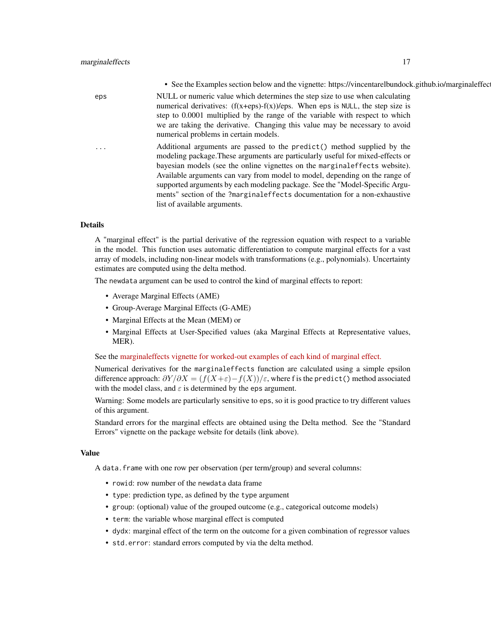• See the Examples section below and the vignette: https://vincentarelbundock.github.io/marginaleffec eps NULL or numeric value which determines the step size to use when calculating numerical derivatives:  $(f(x+eps)-f(x))/eps$ . When eps is NULL, the step size is step to 0.0001 multiplied by the range of the variable with respect to which we are taking the derivative. Changing this value may be necessary to avoid numerical problems in certain models. Additional arguments are passed to the predict() method supplied by the modeling package.These arguments are particularly useful for mixed-effects or bayesian models (see the online vignettes on the marginaleffects website). Available arguments can vary from model to model, depending on the range of supported arguments by each modeling package. See the "Model-Specific Arguments" section of the ?marginaleffects documentation for a non-exhaustive list of available arguments.

#### Details

A "marginal effect" is the partial derivative of the regression equation with respect to a variable in the model. This function uses automatic differentiation to compute marginal effects for a vast array of models, including non-linear models with transformations (e.g., polynomials). Uncertainty estimates are computed using the delta method.

The newdata argument can be used to control the kind of marginal effects to report:

- Average Marginal Effects (AME)
- Group-Average Marginal Effects (G-AME)
- Marginal Effects at the Mean (MEM) or
- Marginal Effects at User-Specified values (aka Marginal Effects at Representative values, MER).

See the [marginaleffects vignette for worked-out examples of each kind of marginal effect.](https://vincentarelbundock.github.io/marginaleffects/articles/marginaleffects.html)

Numerical derivatives for the marginaleffects function are calculated using a simple epsilon difference approach:  $\frac{\partial Y}{\partial X} = (f(X+\varepsilon)-f(X))/\varepsilon$ , where f is the predict() method associated with the model class, and  $\varepsilon$  is determined by the eps argument.

Warning: Some models are particularly sensitive to eps, so it is good practice to try different values of this argument.

Standard errors for the marginal effects are obtained using the Delta method. See the "Standard Errors" vignette on the package website for details (link above).

#### Value

A data.frame with one row per observation (per term/group) and several columns:

- rowid: row number of the newdata data frame
- type: prediction type, as defined by the type argument
- group: (optional) value of the grouped outcome (e.g., categorical outcome models)
- term: the variable whose marginal effect is computed
- dydx: marginal effect of the term on the outcome for a given combination of regressor values
- std.error: standard errors computed by via the delta method.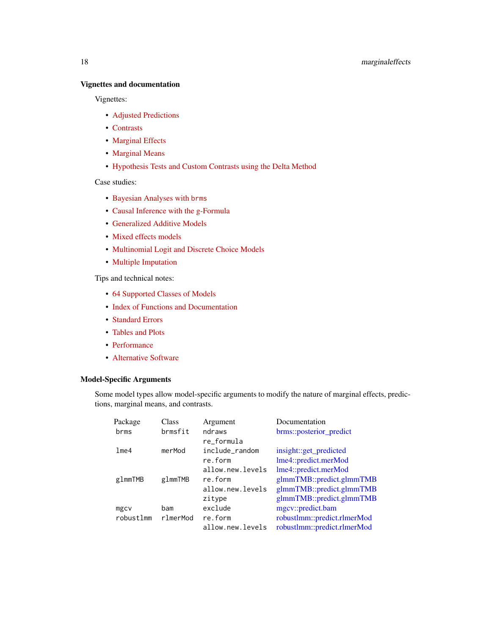# <span id="page-17-0"></span>Vignettes and documentation

Vignettes:

- [Adjusted Predictions](https://vincentarelbundock.github.io/marginaleffects/articles/predictions.html)
- [Contrasts](https://vincentarelbundock.github.io/marginaleffects/articles/contrasts.html)
- [Marginal Effects](https://vincentarelbundock.github.io/marginaleffects/articles/marginaleffects.html)
- [Marginal Means](https://vincentarelbundock.github.io/marginaleffects/articles/marginalmeans.html)
- [Hypothesis Tests and Custom Contrasts using the Delta Method](https://vincentarelbundock.github.io/marginaleffects/articles/hypothesis.html)

Case studies:

- [Bayesian Analyses with](https://vincentarelbundock.github.io/marginaleffects/articles/brms.html) brms
- [Causal Inference with the g-Formula](https://vincentarelbundock.github.io/marginaleffects/articles/gformula.html)
- [Generalized Additive Models](https://vincentarelbundock.github.io/marginaleffects/articles/gam.html)
- [Mixed effects models](https://vincentarelbundock.github.io/marginaleffects/articles/lme4.html)
- [Multinomial Logit and Discrete Choice Models](https://vincentarelbundock.github.io/marginaleffects/articles/mlogit.html)
- [Multiple Imputation](https://vincentarelbundock.github.io/marginaleffects/articles/multiple_imputation.html)

Tips and technical notes:

- [64 Supported Classes of Models](https://vincentarelbundock.github.io/marginaleffects/articles/supported_models.html)
- [Index of Functions and Documentation](https://vincentarelbundock.github.io/marginaleffects/reference/index.html)
- [Standard Errors](https://vincentarelbundock.github.io/marginaleffects/articles/sandwich.html)
- [Tables and Plots](https://vincentarelbundock.github.io/marginaleffects/articles/modelsummary.html)
- [Performance](https://vincentarelbundock.github.io/marginaleffects/articles/performance.html)
- [Alternative Software](https://vincentarelbundock.github.io/marginaleffects/articles/alternative_software.html)

# Model-Specific Arguments

Some model types allow model-specific arguments to modify the nature of marginal effects, predictions, marginal means, and contrasts.

| Package   | Class    | Argument         | Documentation               |
|-----------|----------|------------------|-----------------------------|
| brms      | brmsfit  | ndraws           | brms::posterior_predict     |
|           |          | re formula       |                             |
| 1me4      | merMod   | include_random   | insight::get_predicted      |
|           |          | re.form          | lme4::predict.merMod        |
|           |          | allow.new.levels | lme4::predict.merMod        |
| glmmTMB   | glmmTMB  | re.form          | glmmTMB::predict.glmmTMB    |
|           |          | allow.new.levels | glmmTMB::predict.glmmTMB    |
|           |          | zitype           | glmmTMB::predict.glmmTMB    |
| mgcv      | bam      | exclude          | mgcv::predict.bam           |
| robustlmm | rlmerMod | re.form          | robustlmm::predict.rlmerMod |
|           |          | allow.new.levels | robustlmm::predict.rlmerMod |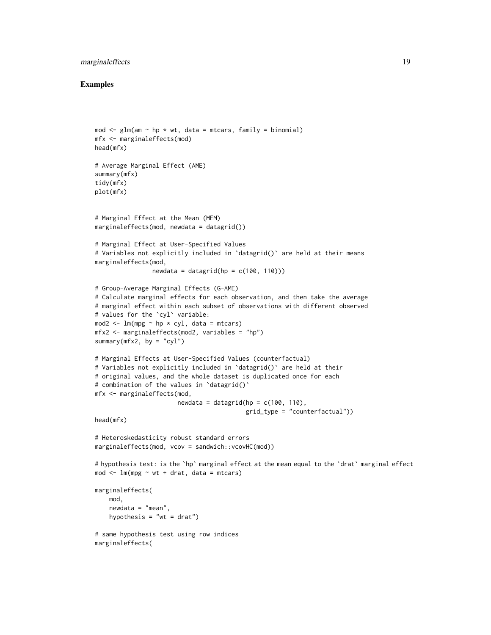# marginal effects 19

#### Examples

```
mod \leq glm(am \sim hp \star wt, data = mtcars, family = binomial)
mfx <- marginaleffects(mod)
head(mfx)
# Average Marginal Effect (AME)
summary(mfx)
tidy(mfx)
plot(mfx)
# Marginal Effect at the Mean (MEM)
marginaleffects(mod, newdata = datagrid())
# Marginal Effect at User-Specified Values
# Variables not explicitly included in `datagrid()` are held at their means
marginaleffects(mod,
                newdata = datagrid(hp = c(100, 110)))# Group-Average Marginal Effects (G-AME)
# Calculate marginal effects for each observation, and then take the average
# marginal effect within each subset of observations with different observed
# values for the `cyl` variable:
mod2 \leq 1m(mpg \sim hp \star cyl, data = mtcars)
mfx2 \leq maximaleffects(mod2, variables = "hp")summary(mfx2, by = "cyl")
# Marginal Effects at User-Specified Values (counterfactual)
# Variables not explicitly included in `datagrid()` are held at their
# original values, and the whole dataset is duplicated once for each
# combination of the values in 'datagrid()'
mfx <- marginaleffects(mod,
                       newdata = datagrid(hp = c(100, 110),
                                           grid_type = "counterfactual"))
head(mfx)
# Heteroskedasticity robust standard errors
marginaleffects(mod, vcov = sandwich::vcovHC(mod))
# hypothesis test: is the `hp` marginal effect at the mean equal to the `drat` marginal effect
mod < - \text{lm}(mpg \sim wt + drat, data = mtcars)marginaleffects(
    mod,
    newdata = "mean",
    hypothesis = "wt = drat")# same hypothesis test using row indices
marginaleffects(
```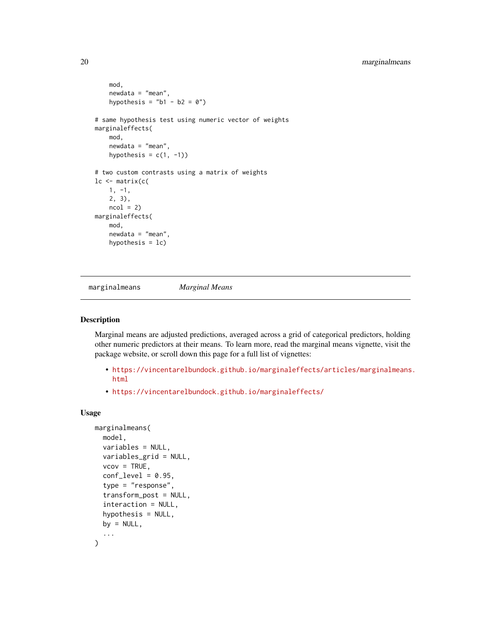```
mod,
    newdata = "mean",
   hypothesis = "b1 - b2 = 0")
# same hypothesis test using numeric vector of weights
marginaleffects(
   mod,
   newdata = "mean",
   hypothesis = c(1, -1))
# two custom contrasts using a matrix of weights
lc <- matrix(c(
    1, -1,2, 3),
   ncol = 2marginaleffects(
   mod,
   newdata = "mean",
   hypothesis = lc)
```
marginalmeans *Marginal Means*

#### Description

Marginal means are adjusted predictions, averaged across a grid of categorical predictors, holding other numeric predictors at their means. To learn more, read the marginal means vignette, visit the package website, or scroll down this page for a full list of vignettes:

- [https://vincentarelbundock.github.io/marginaleffects/articles/marginalmeans](https://vincentarelbundock.github.io/marginaleffects/articles/marginalmeans.html). [html](https://vincentarelbundock.github.io/marginaleffects/articles/marginalmeans.html)
- <https://vincentarelbundock.github.io/marginaleffects/>

#### Usage

```
marginalmeans(
  model,
  variables = NULL,
  variables_grid = NULL,
  vcov = TRUE,conf\_level = 0.95,
  type = "response",
  transform_post = NULL,
  interaction = NULL,
  hypothesis = NULL,
  by = NULL,
  ...
)
```
<span id="page-19-0"></span>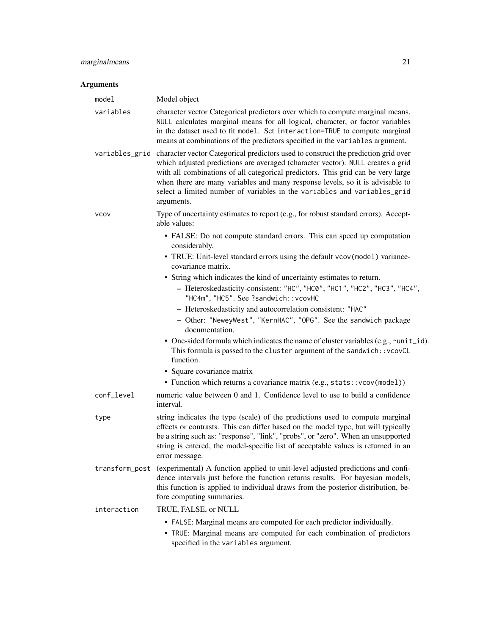| model       | Model object                                                                                                                                                                                                                                                                                                                                                                                                                                        |
|-------------|-----------------------------------------------------------------------------------------------------------------------------------------------------------------------------------------------------------------------------------------------------------------------------------------------------------------------------------------------------------------------------------------------------------------------------------------------------|
| variables   | character vector Categorical predictors over which to compute marginal means.<br>NULL calculates marginal means for all logical, character, or factor variables<br>in the dataset used to fit model. Set interaction=TRUE to compute marginal<br>means at combinations of the predictors specified in the variables argument.                                                                                                                       |
|             | variables_grid character vector Categorical predictors used to construct the prediction grid over<br>which adjusted predictions are averaged (character vector). NULL creates a grid<br>with all combinations of all categorical predictors. This grid can be very large<br>when there are many variables and many response levels, so it is advisable to<br>select a limited number of variables in the variables and variables_grid<br>arguments. |
| <b>VCOV</b> | Type of uncertainty estimates to report (e.g., for robust standard errors). Accept-<br>able values:                                                                                                                                                                                                                                                                                                                                                 |
|             | • FALSE: Do not compute standard errors. This can speed up computation<br>considerably.                                                                                                                                                                                                                                                                                                                                                             |
|             | • TRUE: Unit-level standard errors using the default vcov(model) variance-<br>covariance matrix.                                                                                                                                                                                                                                                                                                                                                    |
|             | • String which indicates the kind of uncertainty estimates to return.                                                                                                                                                                                                                                                                                                                                                                               |
|             | - Heteroskedasticity-consistent: "HC", "HC0", "HC1", "HC2", "HC3", "HC4",<br>"HC4m", "HC5". See ?sandwich:: vcovHC                                                                                                                                                                                                                                                                                                                                  |
|             | - Heteroskedasticity and autocorrelation consistent: "HAC"                                                                                                                                                                                                                                                                                                                                                                                          |
|             | - Other: "NeweyWest", "KernHAC", "OPG". See the sandwich package<br>documentation.                                                                                                                                                                                                                                                                                                                                                                  |
|             | • One-sided formula which indicates the name of cluster variables (e.g., ~unit_id).<br>This formula is passed to the cluster argument of the sandwich:: vcovCL<br>function.                                                                                                                                                                                                                                                                         |
|             | • Square covariance matrix                                                                                                                                                                                                                                                                                                                                                                                                                          |
|             | • Function which returns a covariance matrix (e.g., stats:: vcov(model))                                                                                                                                                                                                                                                                                                                                                                            |
| conf_level  | numeric value between 0 and 1. Confidence level to use to build a confidence<br>interval.                                                                                                                                                                                                                                                                                                                                                           |
| type        | string indicates the type (scale) of the predictions used to compute marginal<br>effects or contrasts. This can differ based on the model type, but will typically<br>be a string such as: "response", "link", "probs", or "zero". When an unsupported<br>string is entered, the model-specific list of acceptable values is returned in an<br>error message.                                                                                       |
|             | transform_post (experimental) A function applied to unit-level adjusted predictions and confi-<br>dence intervals just before the function returns results. For bayesian models,<br>this function is applied to individual draws from the posterior distribution, be-<br>fore computing summaries.                                                                                                                                                  |
| interaction | TRUE, FALSE, or NULL                                                                                                                                                                                                                                                                                                                                                                                                                                |
|             | • FALSE: Marginal means are computed for each predictor individually.<br>• TRUE: Marginal means are computed for each combination of predictors<br>specified in the variables argument.                                                                                                                                                                                                                                                             |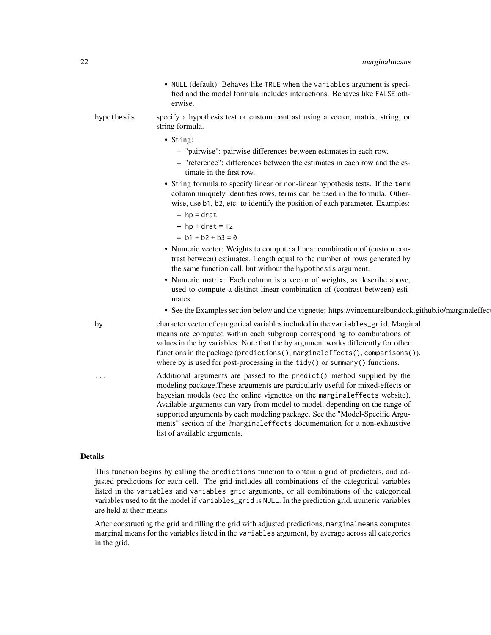- NULL (default): Behaves like TRUE when the variables argument is specified and the model formula includes interactions. Behaves like FALSE otherwise.
- hypothesis specify a hypothesis test or custom contrast using a vector, matrix, string, or string formula.
	- String:
		- "pairwise": pairwise differences between estimates in each row.
		- "reference": differences between the estimates in each row and the estimate in the first row.
	- String formula to specify linear or non-linear hypothesis tests. If the term column uniquely identifies rows, terms can be used in the formula. Otherwise, use b1, b2, etc. to identify the position of each parameter. Examples:
		- $-$  hp = drat
		- $-$  hp + drat = 12
		- $b1 + b2 + b3 = 0$
	- Numeric vector: Weights to compute a linear combination of (custom contrast between) estimates. Length equal to the number of rows generated by the same function call, but without the hypothesis argument.
	- Numeric matrix: Each column is a vector of weights, as describe above, used to compute a distinct linear combination of (contrast between) estimates.
	- See the Examples section below and the vignette: https://vincentarelbundock.github.io/marginaleffects.

by character vector of categorical variables included in the variables\_grid. Marginal means are computed within each subgroup corresponding to combinations of values in the by variables. Note that the by argument works differently for other functions in the package (predictions(), marginaleffects(), comparisons()), where by is used for post-processing in the tidy() or summary() functions.

> Additional arguments are passed to the  $predict()$  method supplied by the modeling package.These arguments are particularly useful for mixed-effects or bayesian models (see the online vignettes on the marginaleffects website). Available arguments can vary from model to model, depending on the range of supported arguments by each modeling package. See the "Model-Specific Arguments" section of the ?marginaleffects documentation for a non-exhaustive list of available arguments.

#### Details

This function begins by calling the predictions function to obtain a grid of predictors, and adjusted predictions for each cell. The grid includes all combinations of the categorical variables listed in the variables and variables\_grid arguments, or all combinations of the categorical variables used to fit the model if variables\_grid is NULL. In the prediction grid, numeric variables are held at their means.

After constructing the grid and filling the grid with adjusted predictions, marginalmeans computes marginal means for the variables listed in the variables argument, by average across all categories in the grid.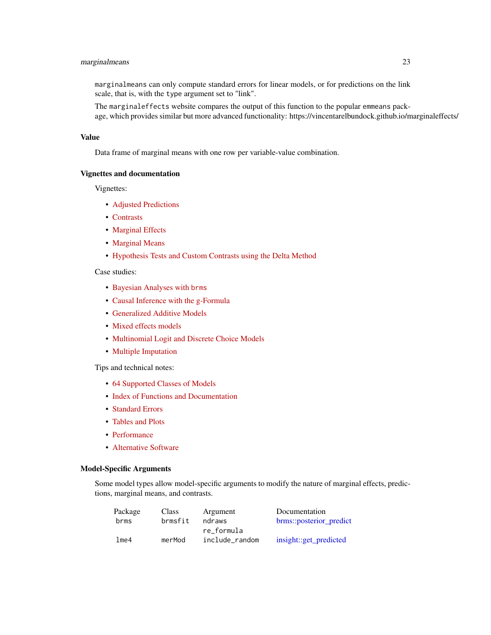# <span id="page-22-0"></span>marginalmeans 23

marginalmeans can only compute standard errors for linear models, or for predictions on the link scale, that is, with the type argument set to "link".

The marginaleffects website compares the output of this function to the popular emmeans package, which provides similar but more advanced functionality: https://vincentarelbundock.github.io/marginaleffects/

#### Value

Data frame of marginal means with one row per variable-value combination.

#### Vignettes and documentation

Vignettes:

- [Adjusted Predictions](https://vincentarelbundock.github.io/marginaleffects/articles/predictions.html)
- [Contrasts](https://vincentarelbundock.github.io/marginaleffects/articles/contrasts.html)
- [Marginal Effects](https://vincentarelbundock.github.io/marginaleffects/articles/marginaleffects.html)
- [Marginal Means](https://vincentarelbundock.github.io/marginaleffects/articles/marginalmeans.html)
- [Hypothesis Tests and Custom Contrasts using the Delta Method](https://vincentarelbundock.github.io/marginaleffects/articles/hypothesis.html)

# Case studies:

- [Bayesian Analyses with](https://vincentarelbundock.github.io/marginaleffects/articles/brms.html) brms
- [Causal Inference with the g-Formula](https://vincentarelbundock.github.io/marginaleffects/articles/gformula.html)
- [Generalized Additive Models](https://vincentarelbundock.github.io/marginaleffects/articles/gam.html)
- [Mixed effects models](https://vincentarelbundock.github.io/marginaleffects/articles/lme4.html)
- [Multinomial Logit and Discrete Choice Models](https://vincentarelbundock.github.io/marginaleffects/articles/mlogit.html)
- [Multiple Imputation](https://vincentarelbundock.github.io/marginaleffects/articles/multiple_imputation.html)

Tips and technical notes:

- [64 Supported Classes of Models](https://vincentarelbundock.github.io/marginaleffects/articles/supported_models.html)
- [Index of Functions and Documentation](https://vincentarelbundock.github.io/marginaleffects/reference/index.html)
- [Standard Errors](https://vincentarelbundock.github.io/marginaleffects/articles/sandwich.html)
- [Tables and Plots](https://vincentarelbundock.github.io/marginaleffects/articles/modelsummary.html)
- [Performance](https://vincentarelbundock.github.io/marginaleffects/articles/performance.html)
- [Alternative Software](https://vincentarelbundock.github.io/marginaleffects/articles/alternative_software.html)

#### Model-Specific Arguments

Some model types allow model-specific arguments to modify the nature of marginal effects, predictions, marginal means, and contrasts.

| Package | <b>Class</b> | Argument       | Documentation           |
|---------|--------------|----------------|-------------------------|
| brms    | brmsfit      | ndraws         | brms::posterior predict |
|         |              | re formula     |                         |
| lme4    | merMod       | include random | insight::get_predicted  |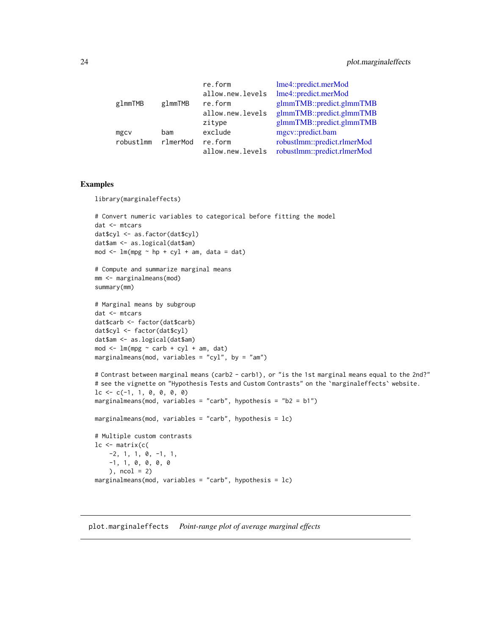<span id="page-23-0"></span>

|          | lme4::predict.merMod                                                                                           |
|----------|----------------------------------------------------------------------------------------------------------------|
|          | lme4::predict.merMod                                                                                           |
| glmmTMB  | glmmTMB::predict.glmmTMB                                                                                       |
|          | glmmTMB::predict.glmmTMB                                                                                       |
|          | glmmTMB::predict.glmmTMB                                                                                       |
| bam      | mgcv::predict.bam                                                                                              |
| rlmerMod | robustlmm::predict.rlmerMod                                                                                    |
|          | robustlmm::predict.rlmerMod                                                                                    |
|          | re.form<br>allow.new.levels<br>re.form<br>allow.new.levels<br>zitype<br>exclude<br>re.form<br>allow.new.levels |

# Examples

library(marginaleffects)

```
# Convert numeric variables to categorical before fitting the model
dat <- mtcars
dat$cyl <- as.factor(dat$cyl)
dat$am <- as.logical(dat$am)
mod \leq \ln(mpg \sim hp + cyl + am, data = dat)
```

```
# Compute and summarize marginal means
mm <- marginalmeans(mod)
summary(mm)
```

```
# Marginal means by subgroup
dat <- mtcars
dat$carb <- factor(dat$carb)
dat$cyl <- factor(dat$cyl)
dat$am <- as.logical(dat$am)
mod < -1m(mpg \sim carb + cyl + am, dat)
marginalmeans(mod, variables = "cyl", by = "am")
```

```
# Contrast between marginal means (carb2 - carb1), or "is the 1st marginal means equal to the 2nd?"
# see the vignette on "Hypothesis Tests and Custom Contrasts" on the `marginaleffects` website.
lc \leftarrow c(-1, 1, 0, 0, 0, 0)marginalmeans(mod, variables = "carb", hypothesis = "b2 = b1")
```

```
marginalmeans(mod, variables = "carb", hypothesis = lc)
```

```
# Multiple custom contrasts
lc <- matrix(c(
   -2, 1, 1, 0, -1, 1,
   -1, 1, 0, 0, 0, 0
   ), ncol = 2)
marginalmeans(mod, variables = "carb", hypothesis = lc)
```
plot.marginaleffects *Point-range plot of average marginal effects*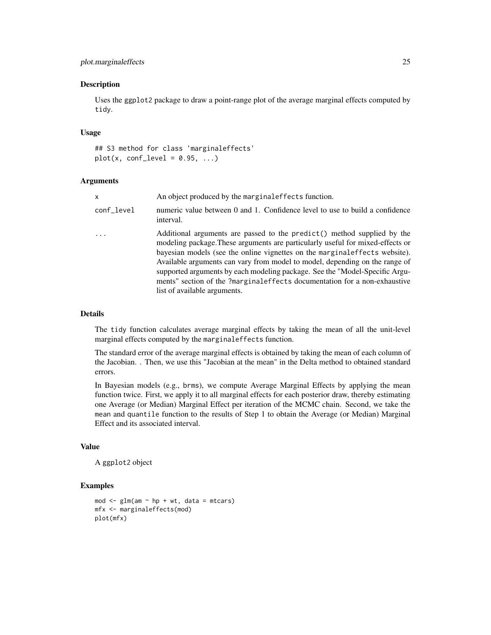# plot.marginaleffects 25

#### Description

Uses the ggplot2 package to draw a point-range plot of the average marginal effects computed by tidy.

#### Usage

## S3 method for class 'marginaleffects'  $plot(x, conf\_level = 0.95, ...)$ 

# Arguments

| X          | An object produced by the marginal effects function.                                                                                                                                                                                                                                                                                                                                                                                                                                                                |
|------------|---------------------------------------------------------------------------------------------------------------------------------------------------------------------------------------------------------------------------------------------------------------------------------------------------------------------------------------------------------------------------------------------------------------------------------------------------------------------------------------------------------------------|
| conf_level | numeric value between 0 and 1. Confidence level to use to build a confidence<br>interval.                                                                                                                                                                                                                                                                                                                                                                                                                           |
|            | Additional arguments are passed to the predict() method supplied by the<br>modeling package. These arguments are particularly useful for mixed-effects or<br>bayesian models (see the online vignettes on the marginal effects website).<br>Available arguments can vary from model to model, depending on the range of<br>supported arguments by each modeling package. See the "Model-Specific Argu-<br>ments" section of the ?marginaleffects documentation for a non-exhaustive<br>list of available arguments. |

#### Details

The tidy function calculates average marginal effects by taking the mean of all the unit-level marginal effects computed by the marginaleffects function.

The standard error of the average marginal effects is obtained by taking the mean of each column of the Jacobian. . Then, we use this "Jacobian at the mean" in the Delta method to obtained standard errors.

In Bayesian models (e.g., brms), we compute Average Marginal Effects by applying the mean function twice. First, we apply it to all marginal effects for each posterior draw, thereby estimating one Average (or Median) Marginal Effect per iteration of the MCMC chain. Second, we take the mean and quantile function to the results of Step 1 to obtain the Average (or Median) Marginal Effect and its associated interval.

# Value

A ggplot2 object

#### Examples

```
mod \leq glm(am \sim hp + wt, data = mtcars)
mfx <- marginaleffects(mod)
plot(mfx)
```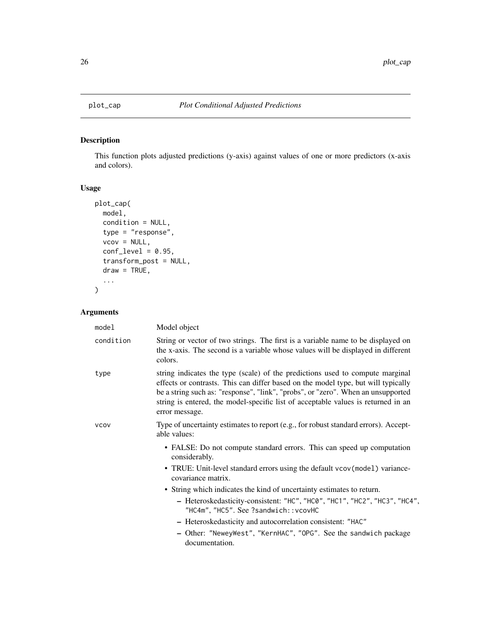# Description

This function plots adjusted predictions (y-axis) against values of one or more predictors (x-axis and colors).

# Usage

```
plot_cap(
 model,
 condition = NULL,
  type = "response",
  vcov = NULL,conf\_level = 0.95,
  transform_post = NULL,
 draw = TRUE,...
)
```

| model       | Model object                                                                                                                                                                                                                                                                                                                                                  |
|-------------|---------------------------------------------------------------------------------------------------------------------------------------------------------------------------------------------------------------------------------------------------------------------------------------------------------------------------------------------------------------|
| condition   | String or vector of two strings. The first is a variable name to be displayed on<br>the x-axis. The second is a variable whose values will be displayed in different<br>colors.                                                                                                                                                                               |
| type        | string indicates the type (scale) of the predictions used to compute marginal<br>effects or contrasts. This can differ based on the model type, but will typically<br>be a string such as: "response", "link", "probs", or "zero". When an unsupported<br>string is entered, the model-specific list of acceptable values is returned in an<br>error message. |
| <b>VCOV</b> | Type of uncertainty estimates to report (e.g., for robust standard errors). Accept-<br>able values:                                                                                                                                                                                                                                                           |
|             | • FALSE: Do not compute standard errors. This can speed up computation<br>considerably.                                                                                                                                                                                                                                                                       |
|             | • TRUE: Unit-level standard errors using the default vcov(model) variance-<br>covariance matrix.                                                                                                                                                                                                                                                              |
|             | • String which indicates the kind of uncertainty estimates to return.                                                                                                                                                                                                                                                                                         |
|             | - Heteroskedasticity-consistent: "HC", "HC0", "HC1", "HC2", "HC3", "HC4",<br>"HC4m", "HC5". See ?sandwich:: vcovHC                                                                                                                                                                                                                                            |
|             | - Heteroskedasticity and autocorrelation consistent: "HAC"                                                                                                                                                                                                                                                                                                    |
|             | - Other: "NeweyWest", "KernHAC", "OPG". See the sandwich package<br>documentation.                                                                                                                                                                                                                                                                            |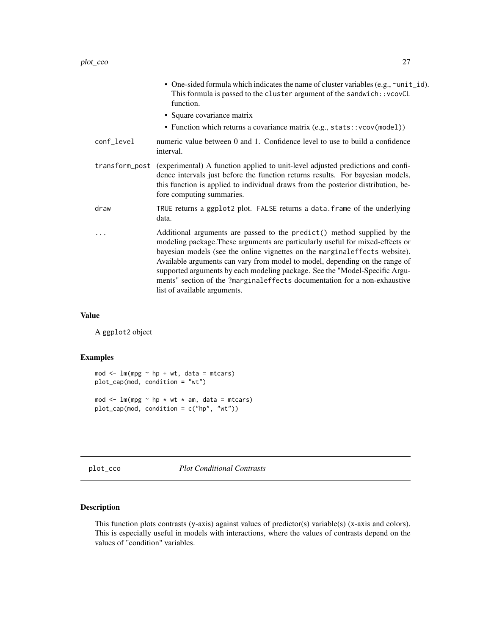<span id="page-26-0"></span>

|                | • One-sided formula which indicates the name of cluster variables (e.g., ~unit_id).<br>This formula is passed to the cluster argument of the sandwich:: vcovCL<br>function.                                                                                                                                                                                                                                                                                                                                          |
|----------------|----------------------------------------------------------------------------------------------------------------------------------------------------------------------------------------------------------------------------------------------------------------------------------------------------------------------------------------------------------------------------------------------------------------------------------------------------------------------------------------------------------------------|
|                | • Square covariance matrix                                                                                                                                                                                                                                                                                                                                                                                                                                                                                           |
|                | • Function which returns a covariance matrix (e.g., stats:: vcov(model))                                                                                                                                                                                                                                                                                                                                                                                                                                             |
| conf_level     | numeric value between 0 and 1. Confidence level to use to build a confidence<br>interval.                                                                                                                                                                                                                                                                                                                                                                                                                            |
| transform_post | (experimental) A function applied to unit-level adjusted predictions and confi-<br>dence intervals just before the function returns results. For bayesian models,<br>this function is applied to individual draws from the posterior distribution, be-<br>fore computing summaries.                                                                                                                                                                                                                                  |
| draw           | TRUE returns a ggplot2 plot. FALSE returns a data. frame of the underlying<br>data.                                                                                                                                                                                                                                                                                                                                                                                                                                  |
| .              | Additional arguments are passed to the predict () method supplied by the<br>modeling package. These arguments are particularly useful for mixed-effects or<br>bayesian models (see the online vignettes on the marginal effects website).<br>Available arguments can vary from model to model, depending on the range of<br>supported arguments by each modeling package. See the "Model-Specific Argu-<br>ments" section of the ?marginaleffects documentation for a non-exhaustive<br>list of available arguments. |

#### Value

A ggplot2 object

# Examples

```
mod < -1m(mpg ~ n + wt, data = mtcars)plot_cap(mod, condition = "wt")
mod \leq lm(mpg \sim hp \star wt \star am, data = mtcars)
plot_cap(mod, condition = c("hp", "wt"))
```
plot\_cco *Plot Conditional Contrasts*

# Description

This function plots contrasts (y-axis) against values of predictor(s) variable(s) (x-axis and colors). This is especially useful in models with interactions, where the values of contrasts depend on the values of "condition" variables.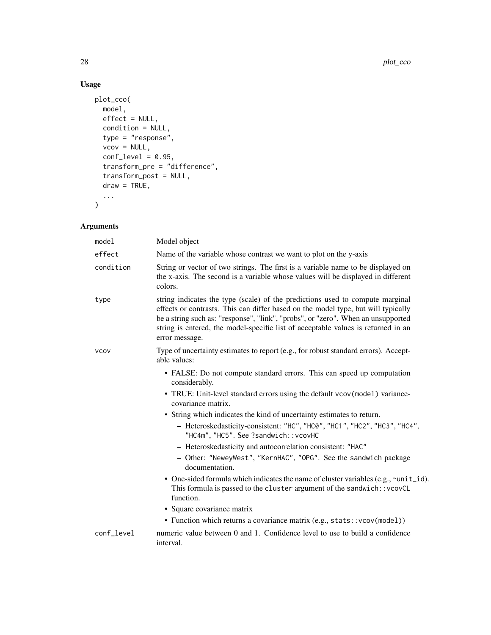# Usage

```
plot_cco(
  model,
 effect = NULL,condition = NULL,
  type = "response",
  vcov = NULL,conf\_level = 0.95,
  transform_pre = "difference",
  transform_post = NULL,
  draw = TRUE,...
\mathcal{L}
```

| model       | Model object                                                                                                                                                                                                                                                                                                                                                                                                                                                                                                                                                 |
|-------------|--------------------------------------------------------------------------------------------------------------------------------------------------------------------------------------------------------------------------------------------------------------------------------------------------------------------------------------------------------------------------------------------------------------------------------------------------------------------------------------------------------------------------------------------------------------|
| effect      | Name of the variable whose contrast we want to plot on the y-axis                                                                                                                                                                                                                                                                                                                                                                                                                                                                                            |
| condition   | String or vector of two strings. The first is a variable name to be displayed on<br>the x-axis. The second is a variable whose values will be displayed in different<br>colors.                                                                                                                                                                                                                                                                                                                                                                              |
| type        | string indicates the type (scale) of the predictions used to compute marginal<br>effects or contrasts. This can differ based on the model type, but will typically<br>be a string such as: "response", "link", "probs", or "zero". When an unsupported<br>string is entered, the model-specific list of acceptable values is returned in an<br>error message.                                                                                                                                                                                                |
| <b>VCOV</b> | Type of uncertainty estimates to report (e.g., for robust standard errors). Accept-<br>able values:                                                                                                                                                                                                                                                                                                                                                                                                                                                          |
|             | • FALSE: Do not compute standard errors. This can speed up computation<br>considerably.<br>• TRUE: Unit-level standard errors using the default vcov(model) variance-<br>covariance matrix.                                                                                                                                                                                                                                                                                                                                                                  |
|             | • String which indicates the kind of uncertainty estimates to return.<br>- Heteroskedasticity-consistent: "HC", "HC0", "HC1", "HC2", "HC3", "HC4",<br>"HC4m", "HC5". See ?sandwich:: vcovHC<br>- Heteroskedasticity and autocorrelation consistent: "HAC"<br>- Other: "NeweyWest", "KernHAC", "OPG". See the sandwich package<br>documentation.<br>• One-sided formula which indicates the name of cluster variables (e.g., ~unit_id).<br>This formula is passed to the cluster argument of the sandwich:: vcovCL<br>function.<br>• Square covariance matrix |
|             | • Function which returns a covariance matrix (e.g., stats:: vcov(model))                                                                                                                                                                                                                                                                                                                                                                                                                                                                                     |
| conf_level  | numeric value between 0 and 1. Confidence level to use to build a confidence<br>interval.                                                                                                                                                                                                                                                                                                                                                                                                                                                                    |
|             |                                                                                                                                                                                                                                                                                                                                                                                                                                                                                                                                                              |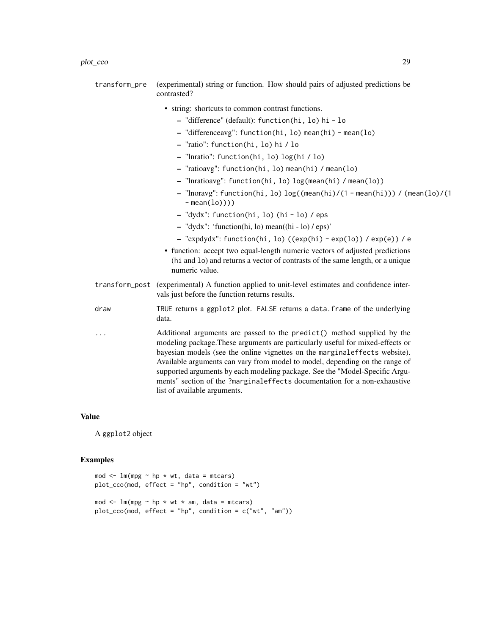| transform_pre | (experimental) string or function. How should pairs of adjusted predictions be<br>contrasted? |
|---------------|-----------------------------------------------------------------------------------------------|
|               | • string: shortcuts to common contrast functions.                                             |
|               | - "difference" (default): function(hi, lo) hi - lo                                            |

- "differenceavg": function(hi, lo) mean(hi) mean(lo)
- "ratio": function(hi, lo) hi / lo

- "lnratio": function(hi, lo) log(hi / lo)
- "ratioavg": function(hi, lo) mean(hi) / mean(lo)
- "lnratioavg": function(hi, lo) log(mean(hi) / mean(lo))
- "lnoravg": function(hi, lo) log((mean(hi)/(1 mean(hi))) / (mean(lo)/(1  $-$  mean $(lo))$ )
- "dydx": function(hi, lo) (hi lo) / eps
- "dydx": 'function(hi, lo) mean((hi lo) / eps)'
- "expdydx": function(hi, lo) ((exp(hi) exp(lo)) / exp(e)) / e
- function: accept two equal-length numeric vectors of adjusted predictions (hi and lo) and returns a vector of contrasts of the same length, or a unique numeric value.
- transform\_post (experimental) A function applied to unit-level estimates and confidence intervals just before the function returns results.
- draw TRUE returns a ggplot2 plot. FALSE returns a data.frame of the underlying data.
- ... Additional arguments are passed to the predict() method supplied by the modeling package.These arguments are particularly useful for mixed-effects or bayesian models (see the online vignettes on the marginaleffects website). Available arguments can vary from model to model, depending on the range of supported arguments by each modeling package. See the "Model-Specific Arguments" section of the ?marginaleffects documentation for a non-exhaustive list of available arguments.

#### Value

A ggplot2 object

#### Examples

```
mod \leq 1m(mpg \sim hp \star wt, data = mtcars)
plot_cco(mod, effect = "hp", condition = "wt")
mod \leq lm(mpg \sim hp \star wt \star am, data = mtcars)
plot_cco(mod, effect = "hp", condition = c("wt", "am"))
```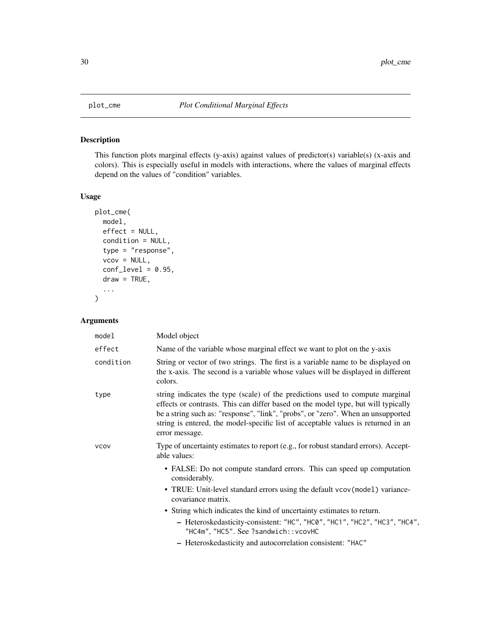<span id="page-29-0"></span>

# Description

This function plots marginal effects (y-axis) against values of predictor(s) variable(s) (x-axis and colors). This is especially useful in models with interactions, where the values of marginal effects depend on the values of "condition" variables.

# Usage

```
plot_cme(
 model,
 effect = NULL,
  condition = NULL,
  type = "response",
  vcov = NULL,
  conf\_level = 0.95,
  draw = TRUE,...
)
```

| model       | Model object                                                                                                                                                                                                                                                                                                                                                  |
|-------------|---------------------------------------------------------------------------------------------------------------------------------------------------------------------------------------------------------------------------------------------------------------------------------------------------------------------------------------------------------------|
| effect      | Name of the variable whose marginal effect we want to plot on the y-axis                                                                                                                                                                                                                                                                                      |
| condition   | String or vector of two strings. The first is a variable name to be displayed on<br>the x-axis. The second is a variable whose values will be displayed in different<br>colors.                                                                                                                                                                               |
| type        | string indicates the type (scale) of the predictions used to compute marginal<br>effects or contrasts. This can differ based on the model type, but will typically<br>be a string such as: "response", "link", "probs", or "zero". When an unsupported<br>string is entered, the model-specific list of acceptable values is returned in an<br>error message. |
| <b>VCOV</b> | Type of uncertainty estimates to report (e.g., for robust standard errors). Accept-<br>able values:                                                                                                                                                                                                                                                           |
|             | • FALSE: Do not compute standard errors. This can speed up computation<br>considerably.                                                                                                                                                                                                                                                                       |
|             | • TRUE: Unit-level standard errors using the default vcov(model) variance-<br>covariance matrix.                                                                                                                                                                                                                                                              |
|             | • String which indicates the kind of uncertainty estimates to return.<br>- Heteroskedasticity-consistent: "HC", "HC0", "HC1", "HC2", "HC3", "HC4",<br>"HC4m", "HC5". See ?sandwich:: vcovHC                                                                                                                                                                   |
|             | - Heteroskedasticity and autocorrelation consistent: "HAC"                                                                                                                                                                                                                                                                                                    |
|             |                                                                                                                                                                                                                                                                                                                                                               |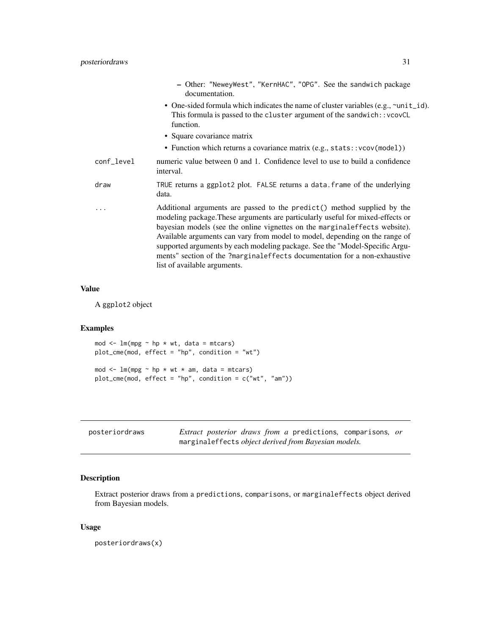<span id="page-30-0"></span>

|            | - Other: "NeweyWest", "KernHAC", "OPG". See the sandwich package<br>documentation.                                                                                                                                                                                                                                                                                                                                                                                                                                 |
|------------|--------------------------------------------------------------------------------------------------------------------------------------------------------------------------------------------------------------------------------------------------------------------------------------------------------------------------------------------------------------------------------------------------------------------------------------------------------------------------------------------------------------------|
|            | • One-sided formula which indicates the name of cluster variables (e.g., ~unit_id).<br>This formula is passed to the cluster argument of the sandwich:: vcovCL<br>function.                                                                                                                                                                                                                                                                                                                                        |
|            | • Square covariance matrix                                                                                                                                                                                                                                                                                                                                                                                                                                                                                         |
|            | • Function which returns a covariance matrix (e.g., stats:: vcov(model))                                                                                                                                                                                                                                                                                                                                                                                                                                           |
| conf_level | numeric value between 0 and 1. Confidence level to use to build a confidence<br>interval.                                                                                                                                                                                                                                                                                                                                                                                                                          |
| draw       | TRUE returns a ggplot2 plot. FALSE returns a data. frame of the underlying<br>data.                                                                                                                                                                                                                                                                                                                                                                                                                                |
| .          | Additional arguments are passed to the predict() method supplied by the<br>modeling package. These arguments are particularly useful for mixed-effects or<br>bayesian models (see the online vignettes on the marginaleffects website).<br>Available arguments can vary from model to model, depending on the range of<br>supported arguments by each modeling package. See the "Model-Specific Argu-<br>ments" section of the ?marginaleffects documentation for a non-exhaustive<br>list of available arguments. |

#### Value

A ggplot2 object

# Examples

```
mod < -1m(mpg ~ n p * wt, data = mtcars)plot_cme(mod, effect = "hp", condition = "wt")
mod \leq lm(mpg \sim hp \star wt \star am, data = mtcars)
plot_cme(mod, effect = "hp", condition = c("wt", "am"))
```

| posteriordraws |  |  |                                                      | <i>Extract posterior draws from a</i> predictions, comparisons, <i>or</i> |  |
|----------------|--|--|------------------------------------------------------|---------------------------------------------------------------------------|--|
|                |  |  | marginaleffects object derived from Bayesian models. |                                                                           |  |

# Description

Extract posterior draws from a predictions, comparisons, or marginaleffects object derived from Bayesian models.

# Usage

posteriordraws(x)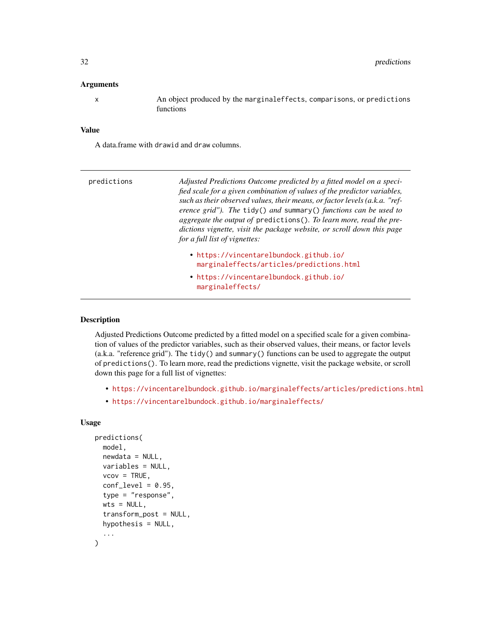#### <span id="page-31-0"></span>**Arguments**

x An object produced by the marginaleffects, comparisons, or predictions functions

#### Value

A data.frame with drawid and draw columns.

| predictions | Adjusted Predictions Outcome predicted by a fitted model on a speci-<br>fied scale for a given combination of values of the predictor variables,<br>such as their observed values, their means, or factor levels (a.k.a. "ref-<br>erence grid"). The $\text{tidy}()$ and summary $()$ functions can be used to<br>aggregate the output of predictions(). To learn more, read the pre-<br>dictions vignette, visit the package website, or scroll down this page<br>for a full list of vignettes: |  |  |  |  |
|-------------|--------------------------------------------------------------------------------------------------------------------------------------------------------------------------------------------------------------------------------------------------------------------------------------------------------------------------------------------------------------------------------------------------------------------------------------------------------------------------------------------------|--|--|--|--|
|             | • https://vincentarelbundock.github.io/<br>marginaleffects/articles/predictions.html                                                                                                                                                                                                                                                                                                                                                                                                             |  |  |  |  |
|             | • https://vincentarelbundock.github.io/<br>marginaleffects/                                                                                                                                                                                                                                                                                                                                                                                                                                      |  |  |  |  |

#### Description

Adjusted Predictions Outcome predicted by a fitted model on a specified scale for a given combination of values of the predictor variables, such as their observed values, their means, or factor levels (a.k.a. "reference grid"). The tidy() and summary() functions can be used to aggregate the output of predictions(). To learn more, read the predictions vignette, visit the package website, or scroll down this page for a full list of vignettes:

- <https://vincentarelbundock.github.io/marginaleffects/articles/predictions.html>
- <https://vincentarelbundock.github.io/marginaleffects/>

#### Usage

```
predictions(
 model,
  newdata = NULL,variables = NULL,
  vcov = TRUE,conf\_level = 0.95,
  type = "response".
  wts = NULL,transform_post = NULL,
  hypothesis = NULL,
  ...
)
```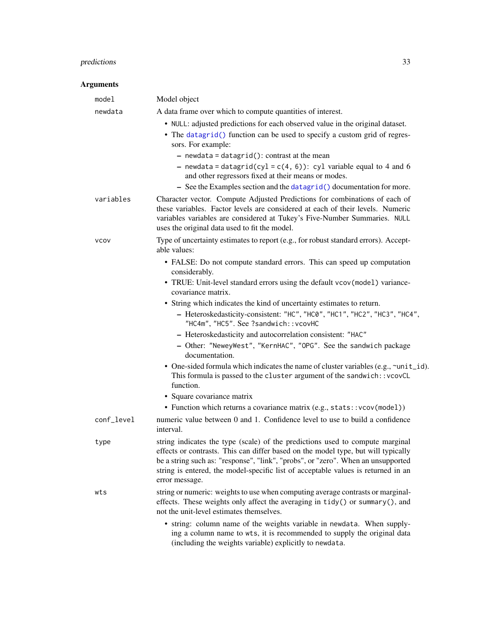# <span id="page-32-0"></span>predictions 33

| model       | Model object                                                                                                                                                                                                                                                                                                                                                  |
|-------------|---------------------------------------------------------------------------------------------------------------------------------------------------------------------------------------------------------------------------------------------------------------------------------------------------------------------------------------------------------------|
| newdata     | A data frame over which to compute quantities of interest.                                                                                                                                                                                                                                                                                                    |
|             | • NULL: adjusted predictions for each observed value in the original dataset.                                                                                                                                                                                                                                                                                 |
|             | • The datagrid() function can be used to specify a custom grid of regres-<br>sors. For example:                                                                                                                                                                                                                                                               |
|             | $-$ newdata = datagrid(): contrast at the mean                                                                                                                                                                                                                                                                                                                |
|             | - newdata = datagrid(cyl = $c(4, 6)$ ): cyl variable equal to 4 and 6<br>and other regressors fixed at their means or modes.                                                                                                                                                                                                                                  |
|             | - See the Examples section and the datagrid() documentation for more.                                                                                                                                                                                                                                                                                         |
| variables   | Character vector. Compute Adjusted Predictions for combinations of each of<br>these variables. Factor levels are considered at each of their levels. Numeric<br>variables variables are considered at Tukey's Five-Number Summaries. NULL<br>uses the original data used to fit the model.                                                                    |
| <b>VCOV</b> | Type of uncertainty estimates to report (e.g., for robust standard errors). Accept-<br>able values:                                                                                                                                                                                                                                                           |
|             | • FALSE: Do not compute standard errors. This can speed up computation<br>considerably.                                                                                                                                                                                                                                                                       |
|             | • TRUE: Unit-level standard errors using the default vcov(model) variance-<br>covariance matrix.                                                                                                                                                                                                                                                              |
|             | • String which indicates the kind of uncertainty estimates to return.                                                                                                                                                                                                                                                                                         |
|             | - Heteroskedasticity-consistent: "HC", "HC0", "HC1", "HC2", "HC3", "HC4",<br>"HC4m", "HC5". See ?sandwich:: vcovHC                                                                                                                                                                                                                                            |
|             | - Heteroskedasticity and autocorrelation consistent: "HAC"                                                                                                                                                                                                                                                                                                    |
|             | - Other: "NeweyWest", "KernHAC", "OPG". See the sandwich package<br>documentation.                                                                                                                                                                                                                                                                            |
|             | • One-sided formula which indicates the name of cluster variables (e.g., ~unit_id).<br>This formula is passed to the cluster argument of the sandwich:: vcovCL<br>function.                                                                                                                                                                                   |
|             | • Square covariance matrix                                                                                                                                                                                                                                                                                                                                    |
|             | • Function which returns a covariance matrix (e.g., stats:: vcov(model))                                                                                                                                                                                                                                                                                      |
| conf_level  | numeric value between 0 and 1. Confidence level to use to build a confidence<br>interval.                                                                                                                                                                                                                                                                     |
| type        | string indicates the type (scale) of the predictions used to compute marginal<br>effects or contrasts. This can differ based on the model type, but will typically<br>be a string such as: "response", "link", "probs", or "zero". When an unsupported<br>string is entered, the model-specific list of acceptable values is returned in an<br>error message. |
| wts         | string or numeric: weights to use when computing average contrasts or marginal-<br>effects. These weights only affect the averaging in tidy() or summary(), and<br>not the unit-level estimates themselves.                                                                                                                                                   |
|             | • string: column name of the weights variable in newdata. When supply-<br>ing a column name to wts, it is recommended to supply the original data<br>(including the weights variable) explicitly to newdata.                                                                                                                                                  |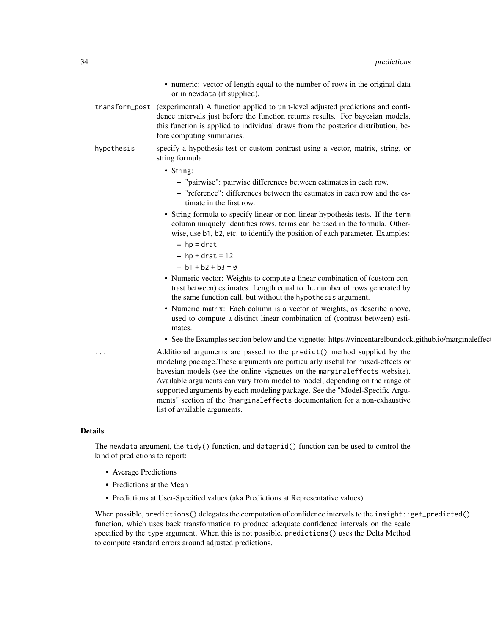- numeric: vector of length equal to the number of rows in the original data or in newdata (if supplied).
- transform\_post (experimental) A function applied to unit-level adjusted predictions and confidence intervals just before the function returns results. For bayesian models, this function is applied to individual draws from the posterior distribution, before computing summaries.
- hypothesis specify a hypothesis test or custom contrast using a vector, matrix, string, or string formula.
	- String:
		- "pairwise": pairwise differences between estimates in each row.
		- "reference": differences between the estimates in each row and the estimate in the first row.
	- String formula to specify linear or non-linear hypothesis tests. If the term column uniquely identifies rows, terms can be used in the formula. Otherwise, use b1, b2, etc. to identify the position of each parameter. Examples:
		- $-$  hp = drat
		- $-$  hp + drat = 12
		- $b1 + b2 + b3 = 0$
	- Numeric vector: Weights to compute a linear combination of (custom contrast between) estimates. Length equal to the number of rows generated by the same function call, but without the hypothesis argument.
	- Numeric matrix: Each column is a vector of weights, as describe above, used to compute a distinct linear combination of (contrast between) estimates.
	- See the Examples section below and the vignette: https://vincentarelbundock.github.io/marginaleffec

Additional arguments are passed to the predict() method supplied by the modeling package.These arguments are particularly useful for mixed-effects or bayesian models (see the online vignettes on the marginaleffects website). Available arguments can vary from model to model, depending on the range of supported arguments by each modeling package. See the "Model-Specific Arguments" section of the ?marginaleffects documentation for a non-exhaustive list of available arguments.

#### Details

The newdata argument, the tidy() function, and datagrid() function can be used to control the kind of predictions to report:

- Average Predictions
- Predictions at the Mean
- Predictions at User-Specified values (aka Predictions at Representative values).

When possible, predictions() delegates the computation of confidence intervals to the insight::get\_predicted() function, which uses back transformation to produce adequate confidence intervals on the scale specified by the type argument. When this is not possible, predictions() uses the Delta Method to compute standard errors around adjusted predictions.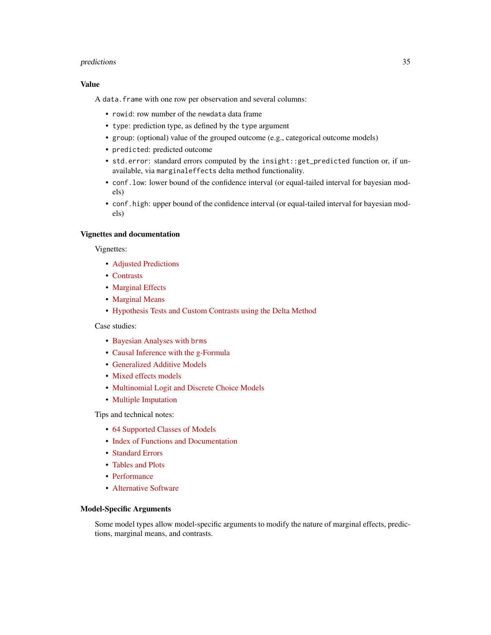#### predictions 35

# Value

A data.frame with one row per observation and several columns:

- rowid: row number of the newdata data frame
- type: prediction type, as defined by the type argument
- group: (optional) value of the grouped outcome (e.g., categorical outcome models)
- predicted: predicted outcome
- std.error: standard errors computed by the insight::get\_predicted function or, if unavailable, via marginaleffects delta method functionality.
- conf.low: lower bound of the confidence interval (or equal-tailed interval for bayesian models)
- conf.high: upper bound of the confidence interval (or equal-tailed interval for bayesian models)

# Vignettes and documentation

Vignettes:

- [Adjusted Predictions](https://vincentarelbundock.github.io/marginaleffects/articles/predictions.html)
- [Contrasts](https://vincentarelbundock.github.io/marginaleffects/articles/contrasts.html)
- [Marginal Effects](https://vincentarelbundock.github.io/marginaleffects/articles/marginaleffects.html)
- [Marginal Means](https://vincentarelbundock.github.io/marginaleffects/articles/marginalmeans.html)
- [Hypothesis Tests and Custom Contrasts using the Delta Method](https://vincentarelbundock.github.io/marginaleffects/articles/hypothesis.html)

Case studies:

- [Bayesian Analyses with](https://vincentarelbundock.github.io/marginaleffects/articles/brms.html) brms
- [Causal Inference with the g-Formula](https://vincentarelbundock.github.io/marginaleffects/articles/gformula.html)
- [Generalized Additive Models](https://vincentarelbundock.github.io/marginaleffects/articles/gam.html)
- [Mixed effects models](https://vincentarelbundock.github.io/marginaleffects/articles/lme4.html)
- [Multinomial Logit and Discrete Choice Models](https://vincentarelbundock.github.io/marginaleffects/articles/mlogit.html)
- [Multiple Imputation](https://vincentarelbundock.github.io/marginaleffects/articles/multiple_imputation.html)

Tips and technical notes:

- [64 Supported Classes of Models](https://vincentarelbundock.github.io/marginaleffects/articles/supported_models.html)
- [Index of Functions and Documentation](https://vincentarelbundock.github.io/marginaleffects/reference/index.html)
- [Standard Errors](https://vincentarelbundock.github.io/marginaleffects/articles/sandwich.html)
- [Tables and Plots](https://vincentarelbundock.github.io/marginaleffects/articles/modelsummary.html)
- [Performance](https://vincentarelbundock.github.io/marginaleffects/articles/performance.html)
- [Alternative Software](https://vincentarelbundock.github.io/marginaleffects/articles/alternative_software.html)

# Model-Specific Arguments

Some model types allow model-specific arguments to modify the nature of marginal effects, predictions, marginal means, and contrasts.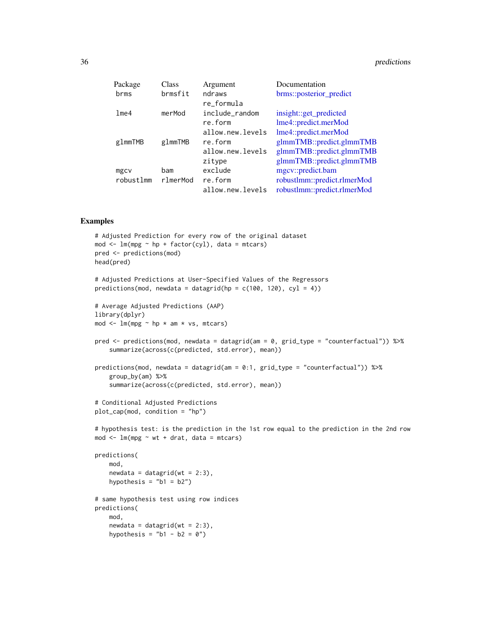<span id="page-35-0"></span>

| Class    | Argument         | Documentation               |
|----------|------------------|-----------------------------|
| brmsfit  | ndraws           | brms::posterior_predict     |
|          | re_formula       |                             |
| merMod   | include_random   | insight::get_predicted      |
|          | re.form          | lme4::predict.merMod        |
|          | allow.new.levels | lme4::predict.merMod        |
| glmmTMB  | re.form          | glmmTMB::predict.glmmTMB    |
|          | allow.new.levels | glmmTMB::predict.glmmTMB    |
|          | zitype           | glmmTMB::predict.glmmTMB    |
| bam      | exclude          | mgcv::predict.bam           |
| rlmerMod | re.form          | robustlmm::predict.rlmerMod |
|          | allow.new.levels | robustlmm::predict.rlmerMod |
|          |                  |                             |

# Examples

```
# Adjusted Prediction for every row of the original dataset
mod \leq lm(mpg \sim hp + factor(cyl), data = mtcars)
pred <- predictions(mod)
head(pred)
# Adjusted Predictions at User-Specified Values of the Regressors
predictions(mod, newdata = datagrid(hp = c(100, 120), cyl = 4))
# Average Adjusted Predictions (AAP)
library(dplyr)
mod \leq lm(mpg \sim hp \star am \star vs, mtcars)
pred <- predictions(mod, newdata = datagrid(am = 0, grid_type = "counterfactual")) %>%
    summarize(across(c(predicted, std.error), mean))
predictions(mod, newdata = datagrid(am = 0:1, grid_type = "counterfactual")) %>%
    group_by(am) %>%
    summarize(across(c(predicted, std.error), mean))
# Conditional Adjusted Predictions
plot_cap(mod, condition = "hp")
# hypothesis test: is the prediction in the 1st row equal to the prediction in the 2nd row
mod \le - \ln(mpg \sim wt + drat, data = mtcars)predictions(
   mod,
   newdata = datagrid(wt = 2:3),
   hypothesis = nb1 = b2")# same hypothesis test using row indices
predictions(
   mod,
    newdata = datagrid(wt = 2:3),
   hypothesis = "b1 - b2 = 0"
```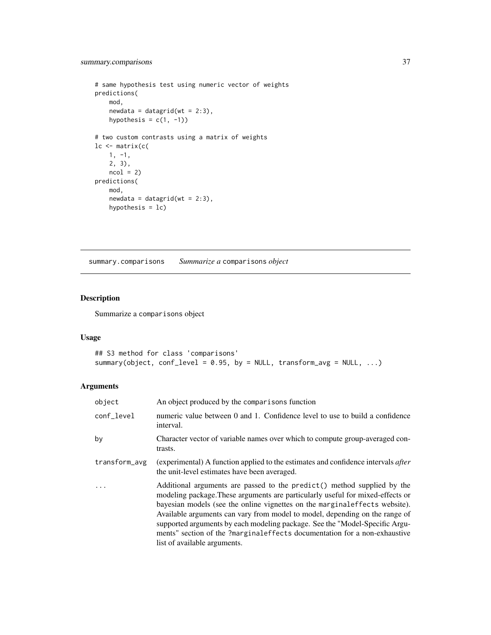# <span id="page-36-0"></span>summary.comparisons 37

```
# same hypothesis test using numeric vector of weights
predictions(
   mod,
   newdata = datagrid(wt = 2:3),
   hypothesis = c(1, -1))
# two custom contrasts using a matrix of weights
lc <- matrix(c(
   1, -1,
   2, 3),
   ncol = 2predictions(
   mod,
   newdata = datagrid(wt = 2:3),
   hypothesis = lc)
```
summary.comparisons *Summarize a* comparisons *object*

# Description

Summarize a comparisons object

# Usage

```
## S3 method for class 'comparisons'
summary(object, conf_level = 0.95, by = NULL, transform_avg = NULL, ...)
```

| object        | An object produced by the comparisons function                                                                                                                                                                                                                                                                                                                                                                                                                                                                      |
|---------------|---------------------------------------------------------------------------------------------------------------------------------------------------------------------------------------------------------------------------------------------------------------------------------------------------------------------------------------------------------------------------------------------------------------------------------------------------------------------------------------------------------------------|
| conf_level    | numeric value between 0 and 1. Confidence level to use to build a confidence<br>interval.                                                                                                                                                                                                                                                                                                                                                                                                                           |
| by            | Character vector of variable names over which to compute group-averaged con-<br>trasts.                                                                                                                                                                                                                                                                                                                                                                                                                             |
| transform_avg | (experimental) A function applied to the estimates and confidence intervals after<br>the unit-level estimates have been averaged.                                                                                                                                                                                                                                                                                                                                                                                   |
| $\ddots$      | Additional arguments are passed to the predict() method supplied by the<br>modeling package. These arguments are particularly useful for mixed-effects or<br>bayesian models (see the online vignettes on the marginal effects website).<br>Available arguments can vary from model to model, depending on the range of<br>supported arguments by each modeling package. See the "Model-Specific Argu-<br>ments" section of the ?marginaleffects documentation for a non-exhaustive<br>list of available arguments. |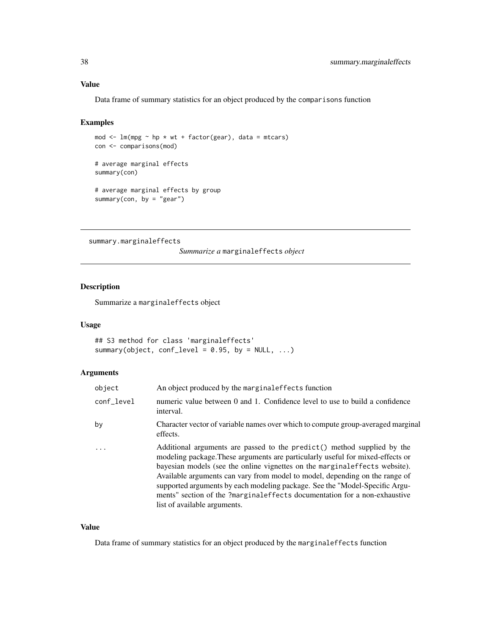#### <span id="page-37-0"></span>Value

Data frame of summary statistics for an object produced by the comparisons function

#### Examples

```
mod \leq lm(mpg \sim hp \star wt + factor(gear), data = mtcars)
con <- comparisons(mod)
# average marginal effects
summary(con)
# average marginal effects by group
summary(con, by = "gear")
```
summary.marginaleffects

*Summarize a* marginaleffects *object*

# Description

Summarize a marginaleffects object

#### Usage

```
## S3 method for class 'marginaleffects'
summary(object, conf_level = 0.95, by = NULL, ...)
```
# Arguments

| object     | An object produced by the marginal effects function                                                                                                                                                                                                                                                                                                                                                                                                                                                                  |
|------------|----------------------------------------------------------------------------------------------------------------------------------------------------------------------------------------------------------------------------------------------------------------------------------------------------------------------------------------------------------------------------------------------------------------------------------------------------------------------------------------------------------------------|
| conf level | numeric value between 0 and 1. Confidence level to use to build a confidence<br>interval.                                                                                                                                                                                                                                                                                                                                                                                                                            |
| by         | Character vector of variable names over which to compute group-averaged marginal<br>effects.                                                                                                                                                                                                                                                                                                                                                                                                                         |
|            | Additional arguments are passed to the predict () method supplied by the<br>modeling package. These arguments are particularly useful for mixed-effects or<br>bayesian models (see the online vignettes on the marginal effects website).<br>Available arguments can vary from model to model, depending on the range of<br>supported arguments by each modeling package. See the "Model-Specific Argu-<br>ments" section of the ?marginaleffects documentation for a non-exhaustive<br>list of available arguments. |

#### Value

Data frame of summary statistics for an object produced by the marginaleffects function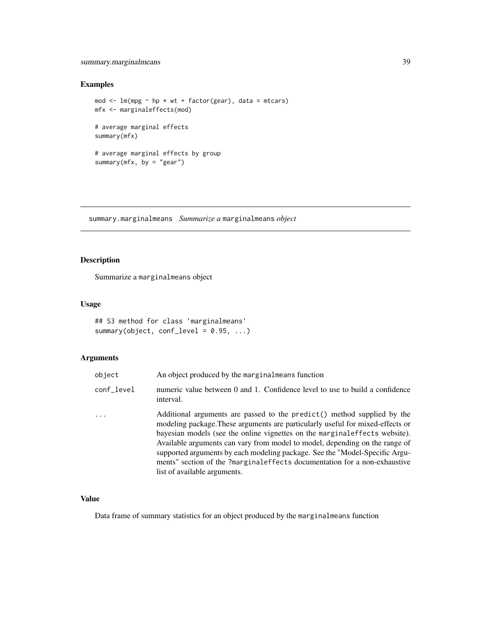# <span id="page-38-0"></span>summary.marginalmeans 39

# Examples

```
mod \leq lm(mpg \sim hp \star wt + factor(gear), data = mtcars)
mfx <- marginaleffects(mod)
# average marginal effects
summary(mfx)
# average marginal effects by group
summary(mfx, by = "gear")
```
summary.marginalmeans *Summarize a* marginalmeans *object*

# Description

Summarize a marginalmeans object

# Usage

```
## S3 method for class 'marginalmeans'
summary(object, conf_level = 0.95, ...)
```
# Arguments

| object     | An object produced by the marginal means function                                                                                                                                                                                                                                                                                                                                                                                                                                                                    |
|------------|----------------------------------------------------------------------------------------------------------------------------------------------------------------------------------------------------------------------------------------------------------------------------------------------------------------------------------------------------------------------------------------------------------------------------------------------------------------------------------------------------------------------|
| conf_level | numeric value between 0 and 1. Confidence level to use to build a confidence<br>interval.                                                                                                                                                                                                                                                                                                                                                                                                                            |
| .          | Additional arguments are passed to the predict () method supplied by the<br>modeling package. These arguments are particularly useful for mixed-effects or<br>bayesian models (see the online vignettes on the marginal effects website).<br>Available arguments can vary from model to model, depending on the range of<br>supported arguments by each modeling package. See the "Model-Specific Argu-<br>ments" section of the ?marginaleffects documentation for a non-exhaustive<br>list of available arguments. |

# Value

Data frame of summary statistics for an object produced by the marginalmeans function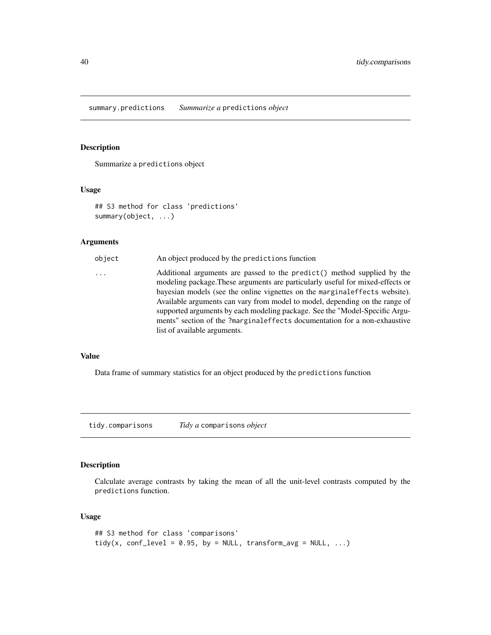<span id="page-39-0"></span>summary.predictions *Summarize a* predictions *object*

# Description

Summarize a predictions object

# Usage

```
## S3 method for class 'predictions'
summary(object, ...)
```
#### Arguments

| object | An object produced by the predictions function                                                                                                                                                                                                                                                                                                                                                                                                                                                                      |
|--------|---------------------------------------------------------------------------------------------------------------------------------------------------------------------------------------------------------------------------------------------------------------------------------------------------------------------------------------------------------------------------------------------------------------------------------------------------------------------------------------------------------------------|
| .      | Additional arguments are passed to the predict() method supplied by the<br>modeling package. These arguments are particularly useful for mixed-effects or<br>bayesian models (see the online vignettes on the marginal effects website).<br>Available arguments can vary from model to model, depending on the range of<br>supported arguments by each modeling package. See the "Model-Specific Argu-<br>ments" section of the ?marginaleffects documentation for a non-exhaustive<br>list of available arguments. |
|        |                                                                                                                                                                                                                                                                                                                                                                                                                                                                                                                     |

#### Value

Data frame of summary statistics for an object produced by the predictions function

tidy.comparisons *Tidy a* comparisons *object*

# Description

Calculate average contrasts by taking the mean of all the unit-level contrasts computed by the predictions function.

# Usage

```
## S3 method for class 'comparisons'
tidy(x, conf_level = 0.95, by = NULL, transform_avg = NULL, \dots)
```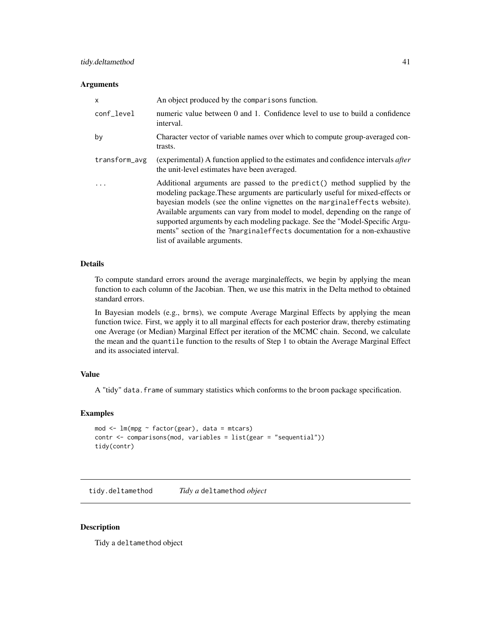#### <span id="page-40-0"></span>**Arguments**

| X             | An object produced by the comparisons function.                                                                                                                                                                                                                                                                                                                                                                                                                                                                     |
|---------------|---------------------------------------------------------------------------------------------------------------------------------------------------------------------------------------------------------------------------------------------------------------------------------------------------------------------------------------------------------------------------------------------------------------------------------------------------------------------------------------------------------------------|
| conf_level    | numeric value between 0 and 1. Confidence level to use to build a confidence<br>interval.                                                                                                                                                                                                                                                                                                                                                                                                                           |
| by            | Character vector of variable names over which to compute group-averaged con-<br>trasts.                                                                                                                                                                                                                                                                                                                                                                                                                             |
| transform_avg | (experimental) A function applied to the estimates and confidence intervals <i>after</i><br>the unit-level estimates have been averaged.                                                                                                                                                                                                                                                                                                                                                                            |
|               | Additional arguments are passed to the predict() method supplied by the<br>modeling package. These arguments are particularly useful for mixed-effects or<br>bayesian models (see the online vignettes on the marginal effects website).<br>Available arguments can vary from model to model, depending on the range of<br>supported arguments by each modeling package. See the "Model-Specific Argu-<br>ments" section of the ?marginaleffects documentation for a non-exhaustive<br>list of available arguments. |

#### Details

To compute standard errors around the average marginaleffects, we begin by applying the mean function to each column of the Jacobian. Then, we use this matrix in the Delta method to obtained standard errors.

In Bayesian models (e.g., brms), we compute Average Marginal Effects by applying the mean function twice. First, we apply it to all marginal effects for each posterior draw, thereby estimating one Average (or Median) Marginal Effect per iteration of the MCMC chain. Second, we calculate the mean and the quantile function to the results of Step 1 to obtain the Average Marginal Effect and its associated interval.

# Value

A "tidy" data.frame of summary statistics which conforms to the broom package specification.

#### Examples

```
mod <- lm(mpg ~ factor(gear), data = mtcars)
contr <- comparisons(mod, variables = list(gear = "sequential"))
tidy(contr)
```
tidy.deltamethod *Tidy a* deltamethod *object*

#### Description

Tidy a deltamethod object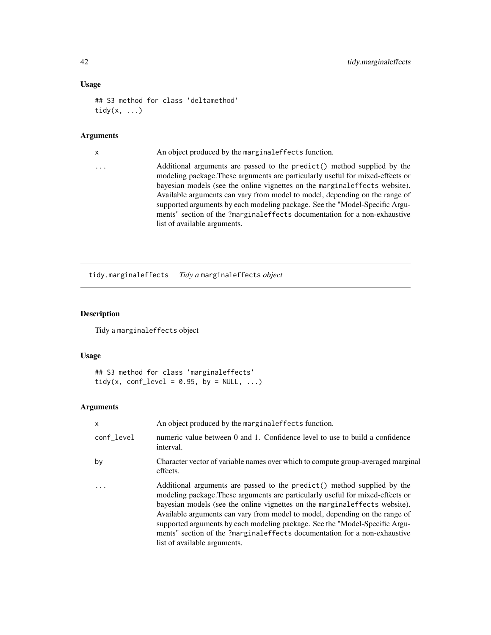# Usage

```
## S3 method for class 'deltamethod'
tidy(x, \ldots)
```
#### Arguments

x An object produced by the marginaleffects function.

... Additional arguments are passed to the predict() method supplied by the modeling package.These arguments are particularly useful for mixed-effects or bayesian models (see the online vignettes on the marginaleffects website). Available arguments can vary from model to model, depending on the range of supported arguments by each modeling package. See the "Model-Specific Arguments" section of the ?marginaleffects documentation for a non-exhaustive list of available arguments.

tidy.marginaleffects *Tidy a* marginaleffects *object*

# Description

Tidy a marginaleffects object

#### Usage

```
## S3 method for class 'marginaleffects'
tidy(x, conf_level = 0.95, by = NULL, ...)
```

| $\mathsf{x}$ | An object produced by the marginal effects function.                                                                                                                                                                                                                                                                                                                                                                                                                                                                 |
|--------------|----------------------------------------------------------------------------------------------------------------------------------------------------------------------------------------------------------------------------------------------------------------------------------------------------------------------------------------------------------------------------------------------------------------------------------------------------------------------------------------------------------------------|
| conf_level   | numeric value between 0 and 1. Confidence level to use to build a confidence<br>interval.                                                                                                                                                                                                                                                                                                                                                                                                                            |
| by           | Character vector of variable names over which to compute group-averaged marginal<br>effects.                                                                                                                                                                                                                                                                                                                                                                                                                         |
|              | Additional arguments are passed to the predict () method supplied by the<br>modeling package. These arguments are particularly useful for mixed-effects or<br>bayesian models (see the online vignettes on the marginal effects website).<br>Available arguments can vary from model to model, depending on the range of<br>supported arguments by each modeling package. See the "Model-Specific Argu-<br>ments" section of the ?marginaleffects documentation for a non-exhaustive<br>list of available arguments. |

<span id="page-41-0"></span>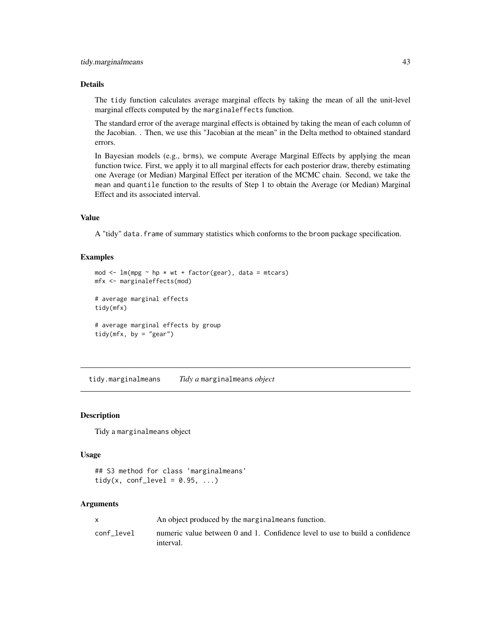# <span id="page-42-0"></span>Details

The tidy function calculates average marginal effects by taking the mean of all the unit-level marginal effects computed by the marginaleffects function.

The standard error of the average marginal effects is obtained by taking the mean of each column of the Jacobian. . Then, we use this "Jacobian at the mean" in the Delta method to obtained standard errors.

In Bayesian models (e.g., brms), we compute Average Marginal Effects by applying the mean function twice. First, we apply it to all marginal effects for each posterior draw, thereby estimating one Average (or Median) Marginal Effect per iteration of the MCMC chain. Second, we take the mean and quantile function to the results of Step 1 to obtain the Average (or Median) Marginal Effect and its associated interval.

#### Value

A "tidy" data.frame of summary statistics which conforms to the broom package specification.

# Examples

```
mod \leq lm(mpg \sim hp \star wt + factor(gear), data = mtcars)
mfx <- marginaleffects(mod)
# average marginal effects
tidy(mfx)
# average marginal effects by group
tidy(mfx, by = "gear")
```
tidy.marginalmeans *Tidy a* marginalmeans *object*

# Description

Tidy a marginalmeans object

#### Usage

## S3 method for class 'marginalmeans' tidy(x, conf\_level =  $0.95, ...$ )

| $\mathsf{x}$ | An object produced by the marginal means function.                                        |
|--------------|-------------------------------------------------------------------------------------------|
| conf level   | numeric value between 0 and 1. Confidence level to use to build a confidence<br>interval. |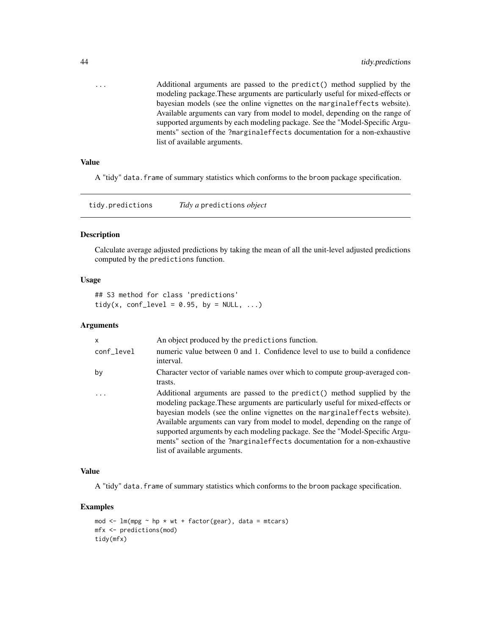<span id="page-43-0"></span>... Additional arguments are passed to the predict() method supplied by the modeling package.These arguments are particularly useful for mixed-effects or bayesian models (see the online vignettes on the marginaleffects website). Available arguments can vary from model to model, depending on the range of supported arguments by each modeling package. See the "Model-Specific Arguments" section of the ?marginaleffects documentation for a non-exhaustive list of available arguments.

# Value

A "tidy" data.frame of summary statistics which conforms to the broom package specification.

tidy.predictions *Tidy a* predictions *object*

#### Description

Calculate average adjusted predictions by taking the mean of all the unit-level adjusted predictions computed by the predictions function.

#### Usage

## S3 method for class 'predictions' tidy(x, conf\_level =  $0.95$ , by = NULL, ...)

#### Arguments

| $\mathsf{x}$ | An object produced by the predictions function.                                                                                                                                                                                                                                                                                                                                                                                                                                                                     |
|--------------|---------------------------------------------------------------------------------------------------------------------------------------------------------------------------------------------------------------------------------------------------------------------------------------------------------------------------------------------------------------------------------------------------------------------------------------------------------------------------------------------------------------------|
| conf_level   | numeric value between 0 and 1. Confidence level to use to build a confidence<br>interval.                                                                                                                                                                                                                                                                                                                                                                                                                           |
| by           | Character vector of variable names over which to compute group-averaged con-<br>trasts.                                                                                                                                                                                                                                                                                                                                                                                                                             |
|              | Additional arguments are passed to the predict() method supplied by the<br>modeling package. These arguments are particularly useful for mixed-effects or<br>bayesian models (see the online vignettes on the marginal effects website).<br>Available arguments can vary from model to model, depending on the range of<br>supported arguments by each modeling package. See the "Model-Specific Argu-<br>ments" section of the ?marginaleffects documentation for a non-exhaustive<br>list of available arguments. |

#### Value

A "tidy" data.frame of summary statistics which conforms to the broom package specification.

# Examples

```
mod \leq lm(mpg \sim hp \star wt + factor(gear), data = mtcars)
mfx <- predictions(mod)
tidy(mfx)
```